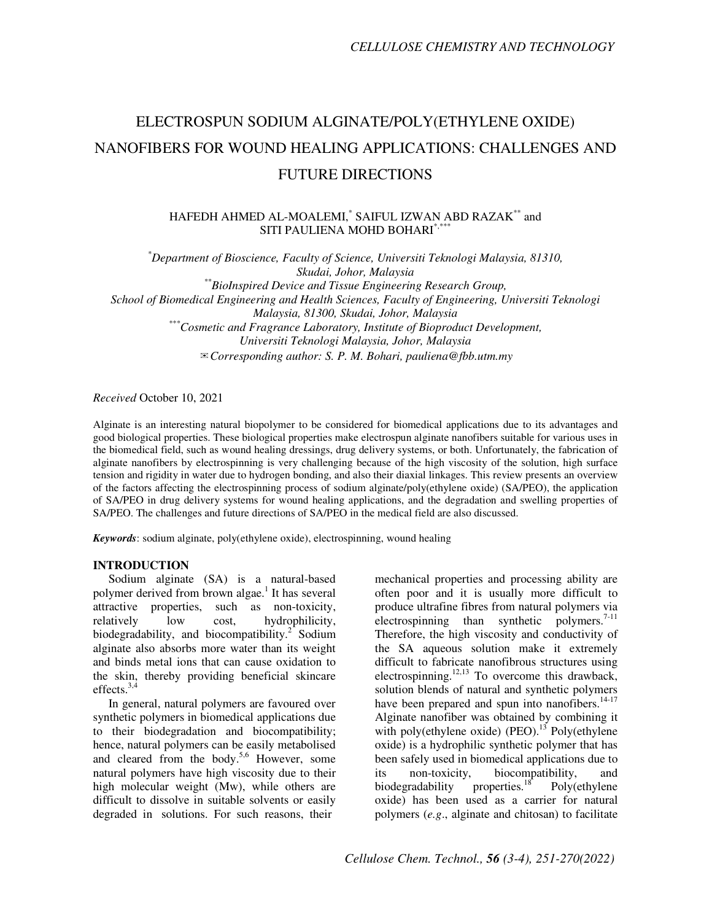# ELECTROSPUN SODIUM ALGINATE/POLY(ETHYLENE OXIDE) NANOFIBERS FOR WOUND HEALING APPLICATIONS: CHALLENGES AND FUTURE DIRECTIONS

#### HAFEDH AHMED AL-MOALEMI,\* SAIFUL IZWAN ABD RAZAK\*\* and SITI PAULIENA MOHD BOHARI\*,\*

*\*Department of Bioscience, Faculty of Science, Universiti Teknologi Malaysia, 81310, Skudai, Johor, Malaysia \*\*BioInspired Device and Tissue Engineering Research Group, School of Biomedical Engineering and Health Sciences, Faculty of Engineering, Universiti Teknologi Malaysia, 81300, Skudai, Johor, Malaysia \*\*\*Cosmetic and Fragrance Laboratory, Institute of Bioproduct Development, Universiti Teknologi Malaysia, Johor, Malaysia*  ✉*Corresponding author: S. P. M. Bohari, pauliena@fbb.utm.my*

*Received* October 10, 2021

Alginate is an interesting natural biopolymer to be considered for biomedical applications due to its advantages and good biological properties. These biological properties make electrospun alginate nanofibers suitable for various uses in the biomedical field, such as wound healing dressings, drug delivery systems, or both. Unfortunately, the fabrication of alginate nanofibers by electrospinning is very challenging because of the high viscosity of the solution, high surface tension and rigidity in water due to hydrogen bonding, and also their diaxial linkages. This review presents an overview of the factors affecting the electrospinning process of sodium alginate/poly(ethylene oxide) (SA/PEO), the application of SA/PEO in drug delivery systems for wound healing applications, and the degradation and swelling properties of SA/PEO. The challenges and future directions of SA/PEO in the medical field are also discussed.

*Keywords*: sodium alginate, poly(ethylene oxide), electrospinning, wound healing

#### **INTRODUCTION**

Sodium alginate (SA) is a natural-based polymer derived from brown algae.<sup>1</sup> It has several attractive properties, such as non-toxicity, relatively low cost, hydrophilicity, biodegradability, and biocompatibility.<sup>2</sup> Sodium alginate also absorbs more water than its weight and binds metal ions that can cause oxidation to the skin, thereby providing beneficial skincare effects. $3,4$ 

In general, natural polymers are favoured over synthetic polymers in biomedical applications due to their biodegradation and biocompatibility; hence, natural polymers can be easily metabolised and cleared from the body.<sup>5,6</sup> However, some natural polymers have high viscosity due to their high molecular weight (Mw), while others are difficult to dissolve in suitable solvents or easily degraded in solutions. For such reasons, their

mechanical properties and processing ability are often poor and it is usually more difficult to produce ultrafine fibres from natural polymers via electrospinning than synthetic polymers.<sup>7-11</sup> Therefore, the high viscosity and conductivity of the SA aqueous solution make it extremely difficult to fabricate nanofibrous structures using electrospinning.<sup>12,13</sup> To overcome this drawback, solution blends of natural and synthetic polymers have been prepared and spun into nanofibers.<sup>14-17</sup> Alginate nanofiber was obtained by combining it with poly(ethylene oxide) (PEO).<sup>13</sup> Poly(ethylene oxide) is a hydrophilic synthetic polymer that has been safely used in biomedical applications due to its non-toxicity, biocompatibility, and<br>biodegradability properties.<sup>18</sup> Poly(ethylene biodegradability properties.<sup>18</sup> Poly(ethylene oxide) has been used as a carrier for natural polymers (*e.g*., alginate and chitosan) to facilitate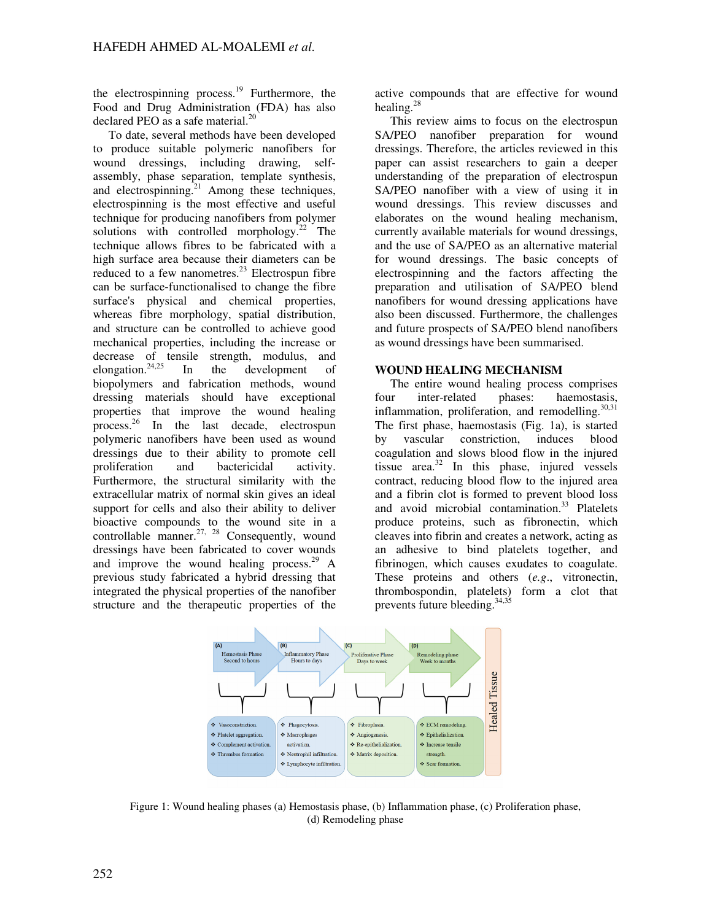the electrospinning process.<sup>19</sup> Furthermore, the Food and Drug Administration (FDA) has also declared PEO as a safe material. $^{20}$ 

To date, several methods have been developed to produce suitable polymeric nanofibers for wound dressings, including drawing, selfassembly, phase separation, template synthesis, and electrospinning.<sup>21</sup> Among these techniques, electrospinning is the most effective and useful technique for producing nanofibers from polymer solutions with controlled morphology. $22$  The technique allows fibres to be fabricated with a high surface area because their diameters can be reduced to a few nanometres.<sup>23</sup> Electrospun fibre can be surface-functionalised to change the fibre surface's physical and chemical properties, whereas fibre morphology, spatial distribution, and structure can be controlled to achieve good mechanical properties, including the increase or decrease of tensile strength, modulus, and elongation.<sup>24,25</sup> In the development of biopolymers and fabrication methods, wound dressing materials should have exceptional properties that improve the wound healing process.<sup>26</sup> In the last decade, electrospun polymeric nanofibers have been used as wound dressings due to their ability to promote cell proliferation and bactericidal activity. Furthermore, the structural similarity with the extracellular matrix of normal skin gives an ideal support for cells and also their ability to deliver bioactive compounds to the wound site in a controllable manner.<sup>27, 28</sup> Consequently, wound dressings have been fabricated to cover wounds and improve the wound healing process. $29$  A previous study fabricated a hybrid dressing that integrated the physical properties of the nanofiber structure and the therapeutic properties of the

active compounds that are effective for wound healing.<sup>28</sup>

This review aims to focus on the electrospun SA/PEO nanofiber preparation for wound dressings. Therefore, the articles reviewed in this paper can assist researchers to gain a deeper understanding of the preparation of electrospun SA/PEO nanofiber with a view of using it in wound dressings. This review discusses and elaborates on the wound healing mechanism, currently available materials for wound dressings, and the use of SA/PEO as an alternative material for wound dressings. The basic concepts of electrospinning and the factors affecting the preparation and utilisation of SA/PEO blend nanofibers for wound dressing applications have also been discussed. Furthermore, the challenges and future prospects of SA/PEO blend nanofibers as wound dressings have been summarised.

#### **WOUND HEALING MECHANISM**

The entire wound healing process comprises four inter-related phases: haemostasis, inflammation, proliferation, and remodelling. $30,31$ The first phase, haemostasis (Fig. 1a), is started by vascular constriction, induces blood coagulation and slows blood flow in the injured tissue area. $32$  In this phase, injured vessels contract, reducing blood flow to the injured area and a fibrin clot is formed to prevent blood loss and avoid microbial contamination.<sup>33</sup> Platelets produce proteins, such as fibronectin, which cleaves into fibrin and creates a network, acting as an adhesive to bind platelets together, and fibrinogen, which causes exudates to coagulate. These proteins and others (*e.g*., vitronectin, thrombospondin, platelets) form a clot that prevents future bleeding.<sup>34,35</sup>



Figure 1: Wound healing phases (a) Hemostasis phase, (b) Inflammation phase, (c) Proliferation phase, (d) Remodeling phase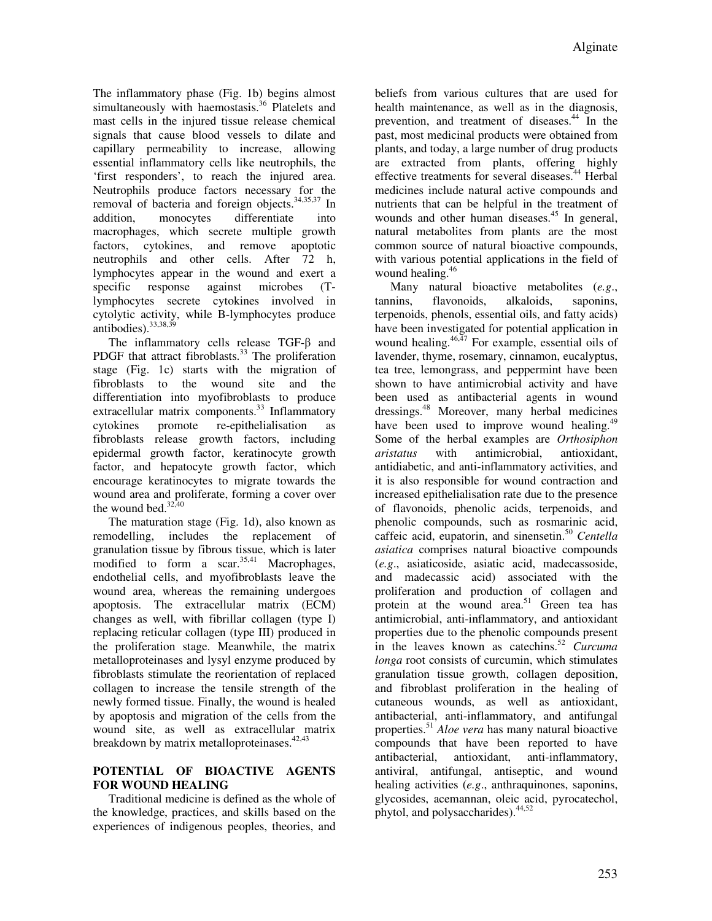The inflammatory phase (Fig. 1b) begins almost simultaneously with haemostasis.<sup>36</sup> Platelets and mast cells in the injured tissue release chemical signals that cause blood vessels to dilate and capillary permeability to increase, allowing essential inflammatory cells like neutrophils, the 'first responders', to reach the injured area. Neutrophils produce factors necessary for the removal of bacteria and foreign objects.<sup>34,35,37</sup> In addition, monocytes differentiate into macrophages, which secrete multiple growth factors, cytokines, and remove apoptotic neutrophils and other cells. After 72 h, lymphocytes appear in the wound and exert a specific response against microbes (Tlymphocytes secrete cytokines involved in cytolytic activity, while B-lymphocytes produce antibodies).<sup>33,38,39</sup>

The inflammatory cells release TGF-β and PDGF that attract fibroblasts.<sup>33</sup> The proliferation stage (Fig. 1c) starts with the migration of fibroblasts to the wound site and the differentiation into myofibroblasts to produce extracellular matrix components.<sup>33</sup> Inflammatory cytokines promote re-epithelialisation as fibroblasts release growth factors, including epidermal growth factor, keratinocyte growth factor, and hepatocyte growth factor, which encourage keratinocytes to migrate towards the wound area and proliferate, forming a cover over the wound bed. $32,40$ 

The maturation stage (Fig. 1d), also known as remodelling, includes the replacement of granulation tissue by fibrous tissue, which is later modified to form a scar.  $35,41$  Macrophages, endothelial cells, and myofibroblasts leave the wound area, whereas the remaining undergoes apoptosis. The extracellular matrix (ECM) changes as well, with fibrillar collagen (type I) replacing reticular collagen (type III) produced in the proliferation stage. Meanwhile, the matrix metalloproteinases and lysyl enzyme produced by fibroblasts stimulate the reorientation of replaced collagen to increase the tensile strength of the newly formed tissue. Finally, the wound is healed by apoptosis and migration of the cells from the wound site, as well as extracellular matrix breakdown by matrix metalloproteinases.<sup>42,43</sup>

## **POTENTIAL OF BIOACTIVE AGENTS FOR WOUND HEALING**

Traditional medicine is defined as the whole of the knowledge, practices, and skills based on the experiences of indigenous peoples, theories, and

beliefs from various cultures that are used for health maintenance, as well as in the diagnosis, prevention, and treatment of diseases.<sup>44</sup> In the past, most medicinal products were obtained from plants, and today, a large number of drug products are extracted from plants, offering highly effective treatments for several diseases.<sup>44</sup> Herbal medicines include natural active compounds and nutrients that can be helpful in the treatment of wounds and other human diseases. $45$  In general, natural metabolites from plants are the most common source of natural bioactive compounds, with various potential applications in the field of wound healing.<sup>46</sup>

Many natural bioactive metabolites (*e.g*., tannins, flavonoids, alkaloids, saponins, terpenoids, phenols, essential oils, and fatty acids) have been investigated for potential application in wound healing. $46,47$  For example, essential oils of lavender, thyme, rosemary, cinnamon, eucalyptus, tea tree, lemongrass, and peppermint have been shown to have antimicrobial activity and have been used as antibacterial agents in wound dressings.<sup>48</sup> Moreover, many herbal medicines have been used to improve wound healing.<sup>49</sup> Some of the herbal examples are *Orthosiphon aristatus* with antimicrobial, antioxidant, antidiabetic, and anti-inflammatory activities, and it is also responsible for wound contraction and increased epithelialisation rate due to the presence of flavonoids, phenolic acids, terpenoids, and phenolic compounds, such as rosmarinic acid, caffeic acid, eupatorin, and sinensetin.<sup>50</sup> *Centella asiatica* comprises natural bioactive compounds (*e.g*., asiaticoside, asiatic acid, madecassoside, and madecassic acid) associated with the proliferation and production of collagen and protein at the wound area.<sup>51</sup> Green tea has antimicrobial, anti-inflammatory, and antioxidant properties due to the phenolic compounds present in the leaves known as catechins.<sup>52</sup> *Curcuma longa* root consists of curcumin, which stimulates granulation tissue growth, collagen deposition, and fibroblast proliferation in the healing of cutaneous wounds, as well as antioxidant, antibacterial, anti-inflammatory, and antifungal properties.<sup>51</sup> *Aloe vera* has many natural bioactive compounds that have been reported to have antibacterial, antioxidant, anti-inflammatory, antiviral, antifungal, antiseptic, and wound healing activities (*e.g*., anthraquinones, saponins, glycosides, acemannan, oleic acid, pyrocatechol, phytol, and polysaccharides).<sup>44,52</sup>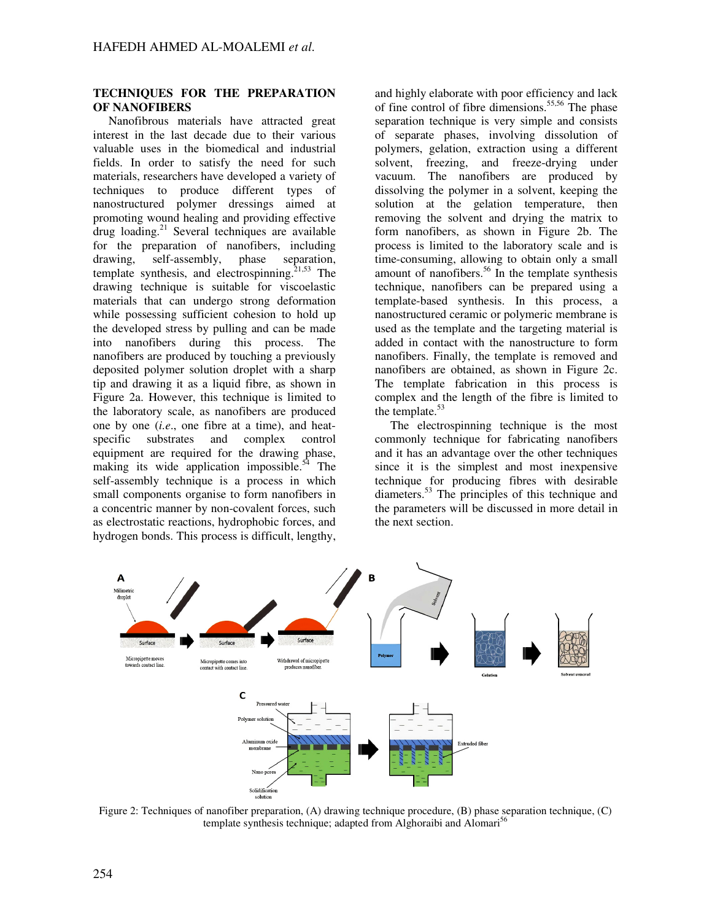#### **TECHNIQUES FOR THE PREPARATION OF NANOFIBERS**

Nanofibrous materials have attracted great interest in the last decade due to their various valuable uses in the biomedical and industrial fields. In order to satisfy the need for such materials, researchers have developed a variety of techniques to produce different types of nanostructured polymer dressings aimed at promoting wound healing and providing effective  $d$ rug loading.<sup>21</sup> Several techniques are available for the preparation of nanofibers, including drawing, self-assembly, phase separation, template synthesis, and electrospinning.<sup>21,53</sup> The drawing technique is suitable for viscoelastic materials that can undergo strong deformation while possessing sufficient cohesion to hold up the developed stress by pulling and can be made into nanofibers during this process. The nanofibers are produced by touching a previously deposited polymer solution droplet with a sharp tip and drawing it as a liquid fibre, as shown in Figure 2a. However, this technique is limited to the laboratory scale, as nanofibers are produced one by one (*i.e*., one fibre at a time), and heatspecific substrates and complex control equipment are required for the drawing phase, making its wide application impossible. $54$  The self-assembly technique is a process in which small components organise to form nanofibers in a concentric manner by non-covalent forces, such as electrostatic reactions, hydrophobic forces, and hydrogen bonds. This process is difficult, lengthy,

and highly elaborate with poor efficiency and lack of fine control of fibre dimensions.<sup>55,56</sup> The phase separation technique is very simple and consists of separate phases, involving dissolution of polymers, gelation, extraction using a different solvent, freezing, and freeze-drying under vacuum. The nanofibers are produced by dissolving the polymer in a solvent, keeping the solution at the gelation temperature, then removing the solvent and drying the matrix to form nanofibers, as shown in Figure 2b. The process is limited to the laboratory scale and is time-consuming, allowing to obtain only a small amount of nanofibers.<sup>56</sup> In the template synthesis technique, nanofibers can be prepared using a template-based synthesis. In this process, a nanostructured ceramic or polymeric membrane is used as the template and the targeting material is added in contact with the nanostructure to form nanofibers. Finally, the template is removed and nanofibers are obtained, as shown in Figure 2c. The template fabrication in this process is complex and the length of the fibre is limited to the template. $53$ 

The electrospinning technique is the most commonly technique for fabricating nanofibers and it has an advantage over the other techniques since it is the simplest and most inexpensive technique for producing fibres with desirable diameters.<sup>53</sup> The principles of this technique and the parameters will be discussed in more detail in the next section.



Figure 2: Techniques of nanofiber preparation, (A) drawing technique procedure, (B) phase separation technique, (C) template synthesis technique; adapted from Alghoraibi and Alomari<sup>5</sup>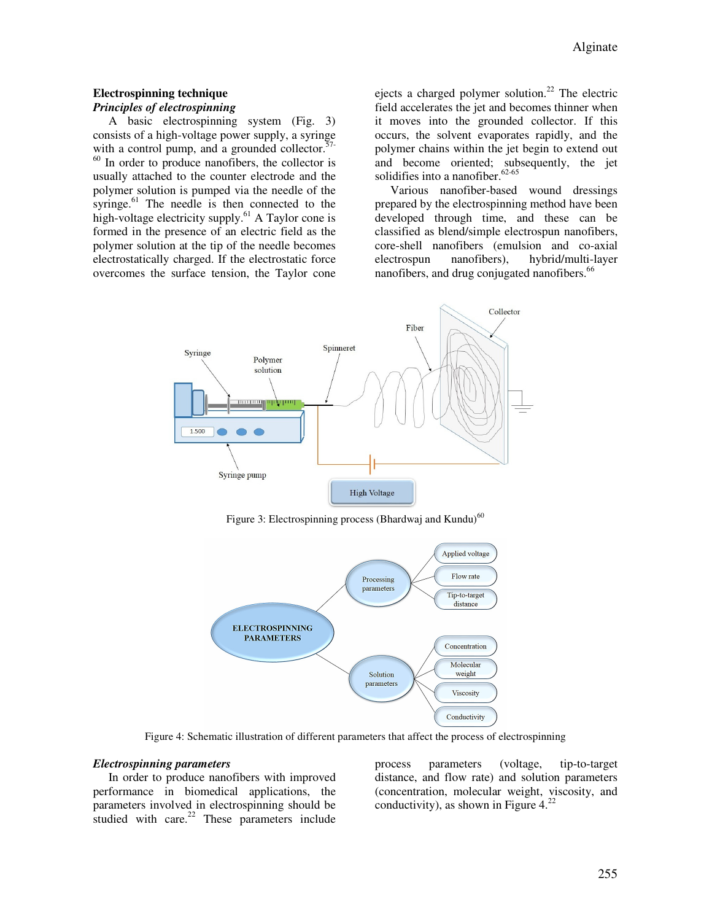#### **Electrospinning technique**  *Principles of electrospinning*

A basic electrospinning system (Fig. 3) consists of a high-voltage power supply, a syringe with a control pump, and a grounded collector. $57-$ <sup>60</sup> In order to produce nanofibers, the collector is usually attached to the counter electrode and the polymer solution is pumped via the needle of the syringe.<sup>61</sup> The needle is then connected to the high-voltage electricity supply.<sup>61</sup> A Taylor cone is formed in the presence of an electric field as the polymer solution at the tip of the needle becomes electrostatically charged. If the electrostatic force overcomes the surface tension, the Taylor cone

ejects a charged polymer solution.<sup>22</sup> The electric field accelerates the jet and becomes thinner when it moves into the grounded collector. If this occurs, the solvent evaporates rapidly, and the polymer chains within the jet begin to extend out and become oriented; subsequently, the jet solidifies into a nanofiber.<sup>62-65</sup>

Various nanofiber-based wound dressings prepared by the electrospinning method have been developed through time, and these can be classified as blend/simple electrospun nanofibers, core-shell nanofibers (emulsion and co-axial electrospun nanofibers), hybrid/multi-layer nanofibers, and drug conjugated nanofibers.<sup>66</sup>



Figure 3: Electrospinning process (Bhardwaj and Kundu) $^{60}$ 



Figure 4: Schematic illustration of different parameters that affect the process of electrospinning

#### *Electrospinning parameters*

In order to produce nanofibers with improved performance in biomedical applications, the parameters involved in electrospinning should be studied with care. $22$  These parameters include process parameters (voltage, tip-to-target distance, and flow rate) and solution parameters (concentration, molecular weight, viscosity, and conductivity), as shown in Figure  $4.^{22}$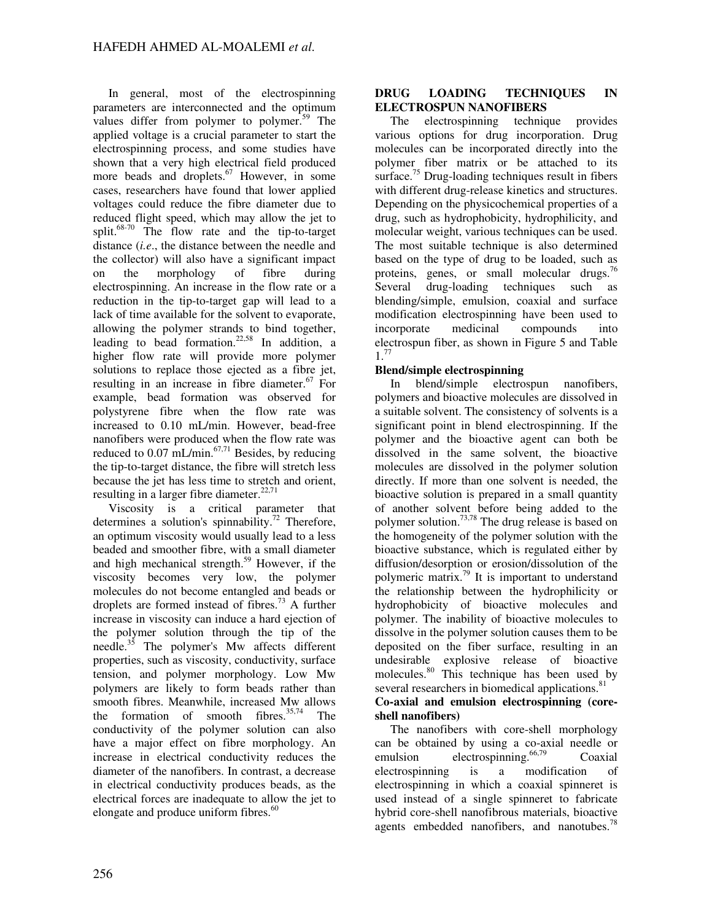In general, most of the electrospinning parameters are interconnected and the optimum values differ from polymer to polymer.<sup>59</sup> The applied voltage is a crucial parameter to start the electrospinning process, and some studies have shown that a very high electrical field produced more beads and droplets. $67$  However, in some cases, researchers have found that lower applied voltages could reduce the fibre diameter due to reduced flight speed, which may allow the jet to split.68-70 The flow rate and the tip-to-target distance (*i.e*., the distance between the needle and the collector) will also have a significant impact on the morphology of fibre during electrospinning. An increase in the flow rate or a reduction in the tip-to-target gap will lead to a lack of time available for the solvent to evaporate, allowing the polymer strands to bind together, leading to bead formation.<sup>22,58</sup> In addition, a higher flow rate will provide more polymer solutions to replace those ejected as a fibre jet, resulting in an increase in fibre diameter. $67$  For example, bead formation was observed for polystyrene fibre when the flow rate was increased to 0.10 mL/min. However, bead-free nanofibers were produced when the flow rate was reduced to 0.07 mL/min. $67,71$  Besides, by reducing the tip-to-target distance, the fibre will stretch less because the jet has less time to stretch and orient, resulting in a larger fibre diameter. $22,71$ 

Viscosity is a critical parameter that determines a solution's spinnability.<sup>72</sup> Therefore, an optimum viscosity would usually lead to a less beaded and smoother fibre, with a small diameter and high mechanical strength.<sup>59</sup> However, if the viscosity becomes very low, the polymer molecules do not become entangled and beads or droplets are formed instead of fibres.<sup>73</sup> A further increase in viscosity can induce a hard ejection of the polymer solution through the tip of the needle.<sup>35</sup> The polymer's Mw affects different properties, such as viscosity, conductivity, surface tension, and polymer morphology. Low Mw polymers are likely to form beads rather than smooth fibres. Meanwhile, increased Mw allows the formation of smooth fibres. $35,74$  The conductivity of the polymer solution can also have a major effect on fibre morphology. An increase in electrical conductivity reduces the diameter of the nanofibers. In contrast, a decrease in electrical conductivity produces beads, as the electrical forces are inadequate to allow the jet to elongate and produce uniform fibres.<sup>60</sup>

#### **DRUG LOADING TECHNIQUES IN ELECTROSPUN NANOFIBERS**

The electrospinning technique provides various options for drug incorporation. Drug molecules can be incorporated directly into the polymer fiber matrix or be attached to its surface.<sup>75</sup> Drug-loading techniques result in fibers with different drug-release kinetics and structures. Depending on the physicochemical properties of a drug, such as hydrophobicity, hydrophilicity, and molecular weight, various techniques can be used. The most suitable technique is also determined based on the type of drug to be loaded, such as proteins, genes, or small molecular drugs.<sup>7</sup> Several drug-loading techniques such as blending/simple, emulsion, coaxial and surface modification electrospinning have been used to incorporate medicinal compounds into electrospun fiber, as shown in Figure 5 and Table  $1^{77}$ 

## **Blend/simple electrospinning**

In blend/simple electrospun nanofibers, polymers and bioactive molecules are dissolved in a suitable solvent. The consistency of solvents is a significant point in blend electrospinning. If the polymer and the bioactive agent can both be dissolved in the same solvent, the bioactive molecules are dissolved in the polymer solution directly. If more than one solvent is needed, the bioactive solution is prepared in a small quantity of another solvent before being added to the polymer solution.<sup>73,78</sup> The drug release is based on the homogeneity of the polymer solution with the bioactive substance, which is regulated either by diffusion/desorption or erosion/dissolution of the polymeric matrix.<sup>79</sup> It is important to understand the relationship between the hydrophilicity or hydrophobicity of bioactive molecules and polymer. The inability of bioactive molecules to dissolve in the polymer solution causes them to be deposited on the fiber surface, resulting in an undesirable explosive release of bioactive molecules.<sup>80</sup> This technique has been used by several researchers in biomedical applications.<sup>81</sup> **Co-axial and emulsion electrospinning (coreshell nanofibers)** 

The nanofibers with core-shell morphology can be obtained by using a co-axial needle or emulsion electrospinning.<sup>66,79</sup> Coaxial electrospinning is a modification of electrospinning in which a coaxial spinneret is used instead of a single spinneret to fabricate hybrid core-shell nanofibrous materials, bioactive agents embedded nanofibers, and nanotubes.<sup>78</sup>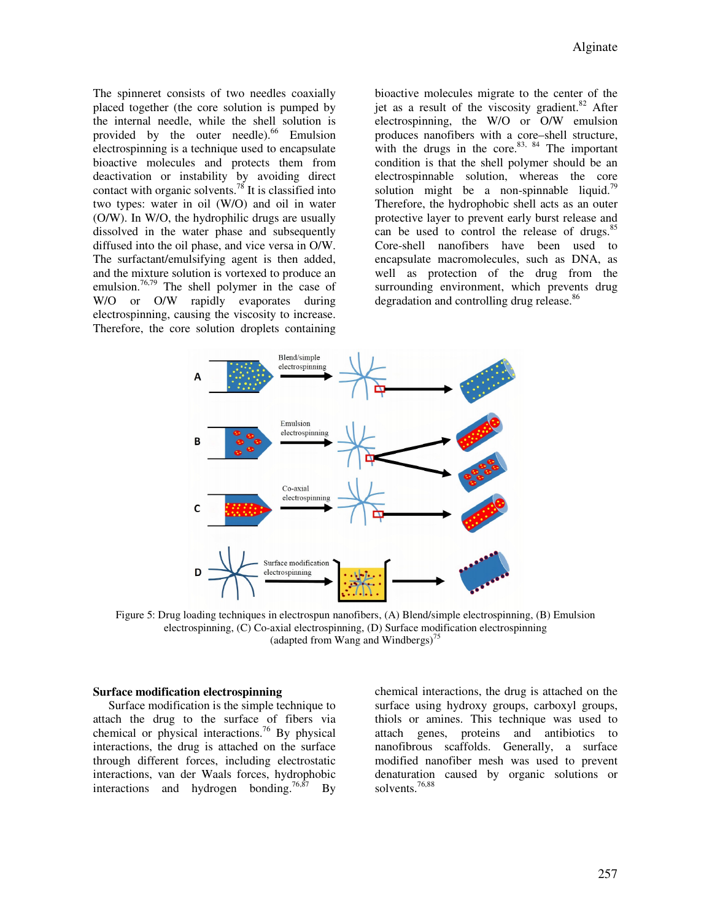The spinneret consists of two needles coaxially placed together (the core solution is pumped by the internal needle, while the shell solution is provided by the outer needle).<sup>66</sup> Emulsion electrospinning is a technique used to encapsulate bioactive molecules and protects them from deactivation or instability by avoiding direct contact with organic solvents.<sup>78</sup> It is classified into two types: water in oil (W/O) and oil in water (O/W). In W/O, the hydrophilic drugs are usually dissolved in the water phase and subsequently diffused into the oil phase, and vice versa in O/W. The surfactant/emulsifying agent is then added, and the mixture solution is vortexed to produce an emulsion.<sup>76,79</sup> The shell polymer in the case of W/O or O/W rapidly evaporates during electrospinning, causing the viscosity to increase. Therefore, the core solution droplets containing

bioactive molecules migrate to the center of the jet as a result of the viscosity gradient. $82$  After electrospinning, the W/O or O/W emulsion produces nanofibers with a core–shell structure, with the drugs in the core. $83, 84$  The important condition is that the shell polymer should be an electrospinnable solution, whereas the core solution might be a non-spinnable liquid.<sup>79</sup> Therefore, the hydrophobic shell acts as an outer protective layer to prevent early burst release and can be used to control the release of drugs.<sup>85</sup> Core-shell nanofibers have been used to encapsulate macromolecules, such as DNA, as well as protection of the drug from the surrounding environment, which prevents drug degradation and controlling drug release.<sup>86</sup>



Figure 5: Drug loading techniques in electrospun nanofibers, (A) Blend/simple electrospinning, (B) Emulsion electrospinning, (C) Co-axial electrospinning, (D) Surface modification electrospinning (adapted from Wang and Windbergs)<sup>75</sup>

#### **Surface modification electrospinning**

Surface modification is the simple technique to attach the drug to the surface of fibers via chemical or physical interactions.<sup>76</sup> By physical interactions, the drug is attached on the surface through different forces, including electrostatic interactions, van der Waals forces, hydrophobic interactions and hydrogen bonding.<sup>76,87</sup> By

chemical interactions, the drug is attached on the surface using hydroxy groups, carboxyl groups, thiols or amines. This technique was used to attach genes, proteins and antibiotics to nanofibrous scaffolds. Generally, a surface modified nanofiber mesh was used to prevent denaturation caused by organic solutions or solvents.76,88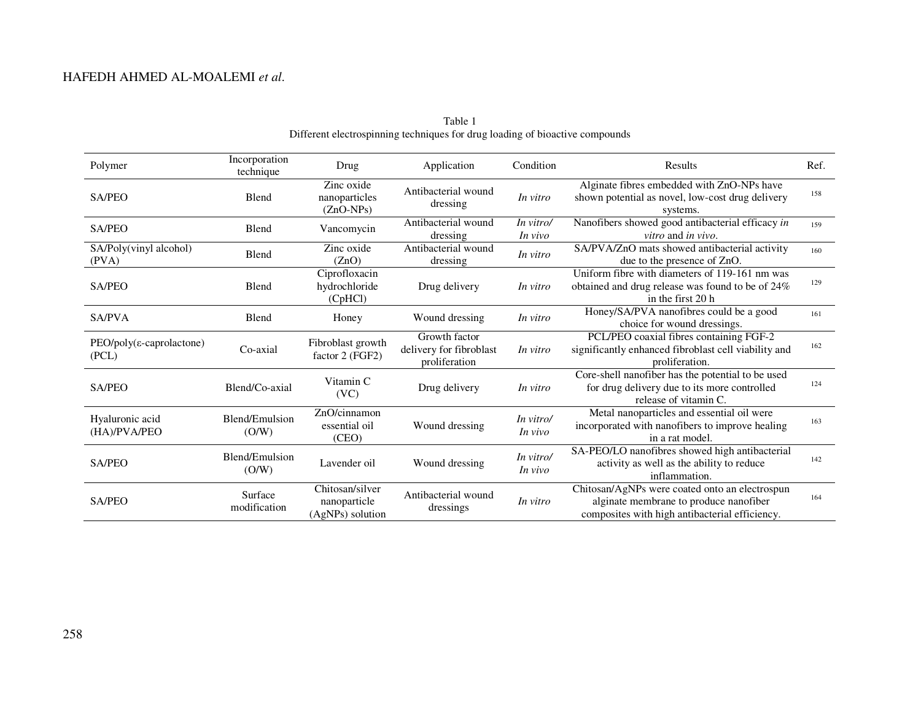| Polymer                                           | Incorporation<br>technique | Drug                                                | Application                                               | Condition                                                                                                                            | <b>Results</b>                                                                                                                             | Ref. |
|---------------------------------------------------|----------------------------|-----------------------------------------------------|-----------------------------------------------------------|--------------------------------------------------------------------------------------------------------------------------------------|--------------------------------------------------------------------------------------------------------------------------------------------|------|
| <b>SA/PEO</b>                                     | Blend                      | Zinc oxide<br>nanoparticles<br>$(ZnO-NPs)$          | Antibacterial wound<br>dressing                           | In vitro                                                                                                                             | Alginate fibres embedded with ZnO-NPs have<br>shown potential as novel, low-cost drug delivery<br>systems.                                 | 158  |
| SA/PEO                                            | Blend                      | Vancomycin                                          | Antibacterial wound<br>dressing                           | In vitro/<br>In vivo                                                                                                                 | Nanofibers showed good antibacterial efficacy in<br>vitro and in vivo.                                                                     | 159  |
| SA/Poly(vinyl alcohol)<br>(PVA)                   | Blend                      | Zinc oxide<br>(ZnO)                                 | Antibacterial wound<br>dressing                           | In vitro                                                                                                                             | SA/PVA/ZnO mats showed antibacterial activity<br>due to the presence of ZnO.                                                               | 160  |
| <b>SA/PEO</b>                                     | Blend                      | Ciprofloxacin<br>hydrochloride<br>(CpHCl)           | Drug delivery                                             | In vitro                                                                                                                             | Uniform fibre with diameters of 119-161 nm was<br>obtained and drug release was found to be of 24%<br>in the first 20 h                    | 129  |
| <b>SA/PVA</b>                                     | Blend                      | Honey                                               | Wound dressing                                            | In vitro                                                                                                                             | Honey/SA/PVA nanofibres could be a good<br>choice for wound dressings.                                                                     | 161  |
| $PEO/poly(\epsilon\text{-}caprolactone)$<br>(PCL) | Co-axial                   | Fibroblast growth<br>factor 2 (FGF2)                | Growth factor<br>delivery for fibroblast<br>proliferation | In vitro                                                                                                                             | PCL/PEO coaxial fibres containing FGF-2<br>significantly enhanced fibroblast cell viability and<br>proliferation.                          | 162  |
| <b>SA/PEO</b>                                     | Blend/Co-axial             | Vitamin C<br>(VC)                                   | Drug delivery                                             | In vitro                                                                                                                             | Core-shell nanofiber has the potential to be used<br>for drug delivery due to its more controlled<br>release of vitamin C.                 | 124  |
| Hyaluronic acid<br>(HA)/PVA/PEO                   | Blend/Emulsion<br>(O/W)    | ZnO/cinnamon<br>essential oil<br>(CEO)              | Wound dressing                                            | In vitro/<br>In vivo                                                                                                                 | Metal nanoparticles and essential oil were<br>incorporated with nanofibers to improve healing<br>in a rat model.                           | 163  |
| <b>SA/PEO</b>                                     | Blend/Emulsion<br>(O/W)    | Lavender oil                                        | Wound dressing                                            | SA-PEO/LO nanofibres showed high antibacterial<br>In vitro/<br>activity as well as the ability to reduce<br>In vivo<br>inflammation. |                                                                                                                                            | 142  |
| SA/PEO                                            | Surface<br>modification    | Chitosan/silver<br>nanoparticle<br>(AgNPs) solution | Antibacterial wound<br>dressings                          | In vitro                                                                                                                             | Chitosan/AgNPs were coated onto an electrospun<br>alginate membrane to produce nanofiber<br>composites with high antibacterial efficiency. | 164  |

Table 1 Different electrospinning techniques for drug loading of bioactive compounds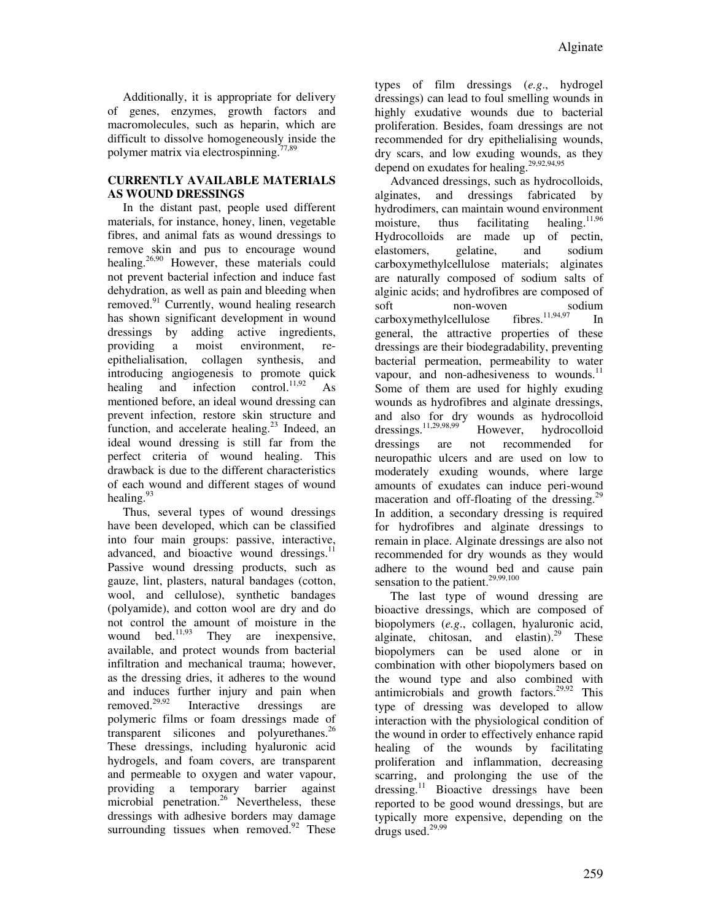Additionally, it is appropriate for delivery of genes, enzymes, growth factors and macromolecules, such as heparin, which are difficult to dissolve homogeneously inside the polymer matrix via electrospinning.77,89

## **CURRENTLY AVAILABLE MATERIALS AS WOUND DRESSINGS**

In the distant past, people used different materials, for instance, honey, linen, vegetable fibres, and animal fats as wound dressings to remove skin and pus to encourage wound healing.<sup>26,90</sup> However, these materials could not prevent bacterial infection and induce fast dehydration, as well as pain and bleeding when removed. $91$  Currently, wound healing research has shown significant development in wound dressings by adding active ingredients, providing a moist environment, reepithelialisation, collagen synthesis, and introducing angiogenesis to promote quick healing and infection control.<sup>11,92</sup> As mentioned before, an ideal wound dressing can prevent infection, restore skin structure and function, and accelerate healing.<sup>23</sup> Indeed, an ideal wound dressing is still far from the perfect criteria of wound healing. This drawback is due to the different characteristics of each wound and different stages of wound healing.<sup>93</sup>

Thus, several types of wound dressings have been developed, which can be classified into four main groups: passive, interactive, advanced, and bioactive wound dressings. $^{11}$ Passive wound dressing products, such as gauze, lint, plasters, natural bandages (cotton, wool, and cellulose), synthetic bandages (polyamide), and cotton wool are dry and do not control the amount of moisture in the wound bed.<sup>11,93</sup> They are inexpensive, available, and protect wounds from bacterial infiltration and mechanical trauma; however, as the dressing dries, it adheres to the wound and induces further injury and pain when removed.29,92 Interactive dressings are polymeric films or foam dressings made of transparent silicones and polyurethanes.<sup>26</sup> These dressings, including hyaluronic acid hydrogels, and foam covers, are transparent and permeable to oxygen and water vapour, providing a temporary barrier against microbial penetration.<sup>26</sup> Nevertheless, these dressings with adhesive borders may damage surrounding tissues when removed. $92$  These

types of film dressings (*e.g*., hydrogel dressings) can lead to foul smelling wounds in highly exudative wounds due to bacterial proliferation. Besides, foam dressings are not recommended for dry epithelialising wounds, dry scars, and low exuding wounds, as they depend on exudates for healing. $29,92,94,95$ 

Advanced dressings, such as hydrocolloids, alginates, and dressings fabricated by hydrodimers, can maintain wound environment moisture, thus facilitating healing.<sup>11,96</sup> Hydrocolloids are made up of pectin, elastomers, gelatine, and sodium carboxymethylcellulose materials; alginates are naturally composed of sodium salts of alginic acids; and hydrofibres are composed of soft non-woven sodium  $carboxy$  methylcellulose fibres.<sup>11,94,97</sup> In general, the attractive properties of these dressings are their biodegradability, preventing bacterial permeation, permeability to water vapour, and non-adhesiveness to wounds.<sup>11</sup> Some of them are used for highly exuding wounds as hydrofibres and alginate dressings, and also for dry wounds as hydrocolloid<br>dressings.<sup>11,29,98,99</sup> However, hydrocolloid dressings.11,29,98,99 However, hydrocolloid dressings are not recommended for neuropathic ulcers and are used on low to moderately exuding wounds, where large amounts of exudates can induce peri-wound maceration and off-floating of the dressing. $29$ In addition, a secondary dressing is required for hydrofibres and alginate dressings to remain in place. Alginate dressings are also not recommended for dry wounds as they would adhere to the wound bed and cause pain sensation to the patient.<sup>29,99,100</sup>

The last type of wound dressing are bioactive dressings, which are composed of biopolymers (*e.g*., collagen, hyaluronic acid, alginate, chitosan, and elastin).<sup>29</sup> These biopolymers can be used alone or in combination with other biopolymers based on the wound type and also combined with antimicrobials and growth factors.<sup>29,92</sup> This type of dressing was developed to allow interaction with the physiological condition of the wound in order to effectively enhance rapid healing of the wounds by facilitating proliferation and inflammation, decreasing scarring, and prolonging the use of the dressing.<sup>11</sup> Bioactive dressings have been reported to be good wound dressings, but are typically more expensive, depending on the drugs used. $29,99$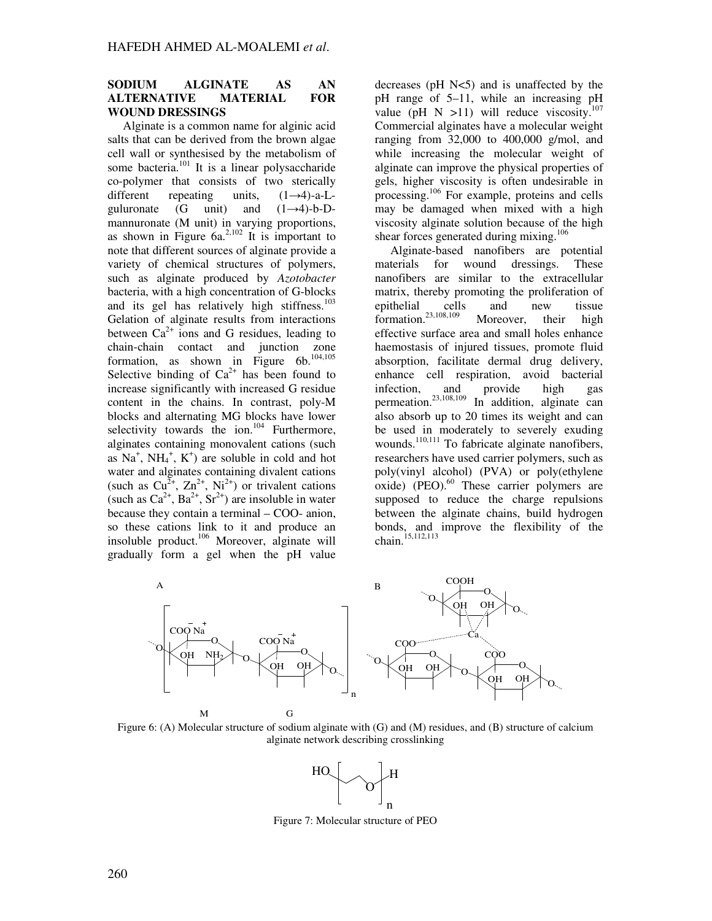#### **SODIUM ALGINATE AS AN ALTERNATIVE MATERIAL FOR WOUND DRESSINGS**

Alginate is a common name for alginic acid salts that can be derived from the brown algae cell wall or synthesised by the metabolism of some bacteria. $\frac{101}{101}$  It is a linear polysaccharide co-polymer that consists of two sterically<br>different repeating units,  $(1\rightarrow4)$ -a-Lrepeating units,  $(1\rightarrow4)$ -a-Lguluronate (G unit) and  $(1\rightarrow 4)$ -b-Dmannuronate (M unit) in varying proportions, as shown in Figure  $6a^{2,102}$  It is important to note that different sources of alginate provide a variety of chemical structures of polymers, such as alginate produced by *Azotobacter* bacteria, with a high concentration of G-blocks and its gel has relatively high stiffness. $103$ Gelation of alginate results from interactions between  $Ca^{2+}$  ions and G residues, leading to chain-chain contact and junction zone formation, as shown in Figure  $6b$ .<sup>104,105</sup> Selective binding of  $Ca^{2+}$  has been found to increase significantly with increased G residue content in the chains. In contrast, poly-M blocks and alternating MG blocks have lower selectivity towards the ion. $104$  Furthermore, alginates containing monovalent cations (such as  $Na<sup>+</sup>$ ,  $NH<sub>4</sub><sup>+</sup>$ ,  $K<sup>+</sup>$ ) are soluble in cold and hot water and alginates containing divalent cations (such as  $Cu^{2+}$ ,  $Zn^{2+}$ , Ni<sup>2+</sup>) or trivalent cations (such as  $Ca^{2+}$ ,  $Ba^{2+}$ ,  $Sr^{2+}$ ) are insoluble in water because they contain a terminal – COO- anion, so these cations link to it and produce an insoluble product.<sup>106</sup> Moreover, alginate will gradually form a gel when the pH value

decreases ( $pH$  N $lt;$ 5) and is unaffected by the pH range of 5–11, while an increasing pH value (pH N >11) will reduce viscosity.<sup>107</sup> Commercial alginates have a molecular weight ranging from  $32,000$  to  $400,000$  g/mol, and while increasing the molecular weight of alginate can improve the physical properties of gels, higher viscosity is often undesirable in processing.<sup>106</sup> For example, proteins and cells may be damaged when mixed with a high viscosity alginate solution because of the high shear forces generated during mixing.<sup>106</sup>

Alginate-based nanofibers are potential materials for wound dressings. These nanofibers are similar to the extracellular matrix, thereby promoting the proliferation of epithelial cells and new tissue formation.<sup>23,108,109</sup> Moreover, their high effective surface area and small holes enhance haemostasis of injured tissues, promote fluid absorption, facilitate dermal drug delivery, enhance cell respiration, avoid bacterial infection, and provide high gas permeation.<sup>23,108,109</sup> In addition, alginate can also absorb up to 20 times its weight and can be used in moderately to severely exuding wounds.<sup>110,111</sup> To fabricate alginate nanofibers, researchers have used carrier polymers, such as poly(vinyl alcohol) (PVA) or poly(ethylene  $\alpha$ ixide) (PEO). $^{60}$  These carrier polymers are supposed to reduce the charge repulsions between the alginate chains, build hydrogen bonds, and improve the flexibility of the chain.<sup>15,112,113</sup>



Figure 6: (A) Molecular structure of sodium alginate with (G) and (M) residues, and (B) structure of calcium alginate network describing crosslinking



Figure 7: Molecular structure of PEO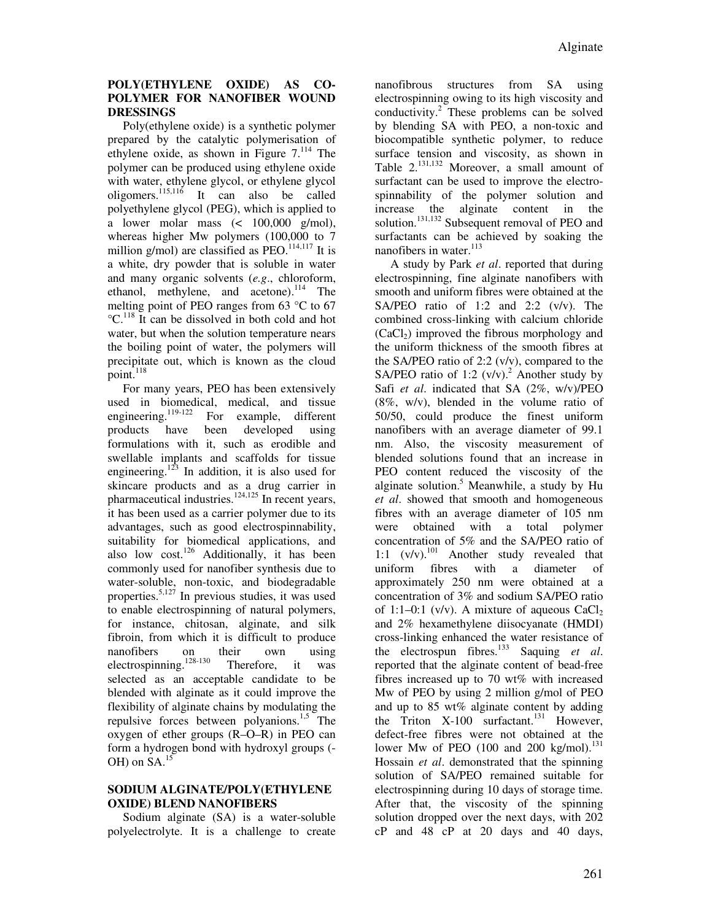## **POLY(ETHYLENE OXIDE) AS CO-POLYMER FOR NANOFIBER WOUND DRESSINGS**

Poly(ethylene oxide) is a synthetic polymer prepared by the catalytic polymerisation of ethylene oxide, as shown in Figure 7.<sup>114</sup> The polymer can be produced using ethylene oxide with water, ethylene glycol, or ethylene glycol oligomers.115,116 It can also be called polyethylene glycol (PEG), which is applied to a lower molar mass (< 100,000 g/mol), whereas higher Mw polymers (100,000 to 7 million g/mol) are classified as  $PEO<sup>114,117</sup>$  It is a white, dry powder that is soluble in water and many organic solvents (*e.g*., chloroform, ethanol, methylene, and acetone).<sup>114</sup> The melting point of PEO ranges from 63 °C to 67  $^{\circ}$ C.<sup>118</sup> It can be dissolved in both cold and hot water, but when the solution temperature nears the boiling point of water, the polymers will precipitate out, which is known as the cloud point. $^{118}$ 

For many years, PEO has been extensively used in biomedical, medical, and tissue<br>engineering.<sup>119-122</sup> For example, different For example, different products have been developed using formulations with it, such as erodible and swellable implants and scaffolds for tissue engineering.<sup>123</sup> In addition, it is also used for skincare products and as a drug carrier in pharmaceutical industries. $124,125$  In recent years, it has been used as a carrier polymer due to its advantages, such as good electrospinnability, suitability for biomedical applications, and also low cost.<sup>126</sup> Additionally, it has been commonly used for nanofiber synthesis due to water-soluble, non-toxic, and biodegradable properties. $5,127$  In previous studies, it was used to enable electrospinning of natural polymers, for instance, chitosan, alginate, and silk fibroin, from which it is difficult to produce nanofibers on their own using electrospinning.128-130 Therefore, it was selected as an acceptable candidate to be blended with alginate as it could improve the flexibility of alginate chains by modulating the repulsive forces between polyanions.<sup>1,5</sup> The oxygen of ether groups (R–O–R) in PEO can form a hydrogen bond with hydroxyl groups (- OH) on SA.<sup>15</sup>

#### **SODIUM ALGINATE/POLY(ETHYLENE OXIDE) BLEND NANOFIBERS**

Sodium alginate (SA) is a water-soluble polyelectrolyte. It is a challenge to create nanofibrous structures from SA using electrospinning owing to its high viscosity and conductivity. $2$  These problems can be solved by blending SA with PEO, a non-toxic and biocompatible synthetic polymer, to reduce surface tension and viscosity, as shown in Table 2.<sup>131,132</sup> Moreover, a small amount of surfactant can be used to improve the electrospinnability of the polymer solution and increase the alginate content in the solution.<sup>131,132</sup> Subsequent removal of PEO and surfactants can be achieved by soaking the nanofibers in water.<sup>113</sup>

A study by Park *et al*. reported that during electrospinning, fine alginate nanofibers with smooth and uniform fibres were obtained at the SA/PEO ratio of 1:2 and 2:2 (v/v). The combined cross-linking with calcium chloride  $(CaCl<sub>2</sub>)$  improved the fibrous morphology and the uniform thickness of the smooth fibres at the SA/PEO ratio of 2:2 (v/v), compared to the SA/PEO ratio of 1:2  $(v/v)$ .<sup>2</sup> Another study by Safi *et al*. indicated that SA (2%, w/v)/PEO (8%, w/v), blended in the volume ratio of 50/50, could produce the finest uniform nanofibers with an average diameter of 99.1 nm. Also, the viscosity measurement of blended solutions found that an increase in PEO content reduced the viscosity of the alginate solution.<sup>5</sup> Meanwhile, a study by Hu *et al*. showed that smooth and homogeneous fibres with an average diameter of 105 nm were obtained with a total polymer concentration of 5% and the SA/PEO ratio of 1:1  $(v/v)$ .<sup>101</sup> Another study revealed that uniform fibres with a diameter of approximately 250 nm were obtained at a concentration of 3% and sodium SA/PEO ratio of 1:1–0:1 (v/v). A mixture of aqueous  $CaCl<sub>2</sub>$ and 2% hexamethylene diisocyanate (HMDI) cross-linking enhanced the water resistance of the electrospun fibres.<sup>133</sup> Saquing *et al*. reported that the alginate content of bead-free fibres increased up to 70 wt% with increased Mw of PEO by using 2 million g/mol of PEO and up to 85 wt% alginate content by adding the Triton  $X-100$  surfactant.<sup>131</sup> However, defect-free fibres were not obtained at the lower Mw of PEO  $(100 \text{ and } 200 \text{ kg/mol})$ .<sup>131</sup> Hossain *et al*. demonstrated that the spinning solution of SA/PEO remained suitable for electrospinning during 10 days of storage time. After that, the viscosity of the spinning solution dropped over the next days, with 202 cP and 48 cP at 20 days and 40 days,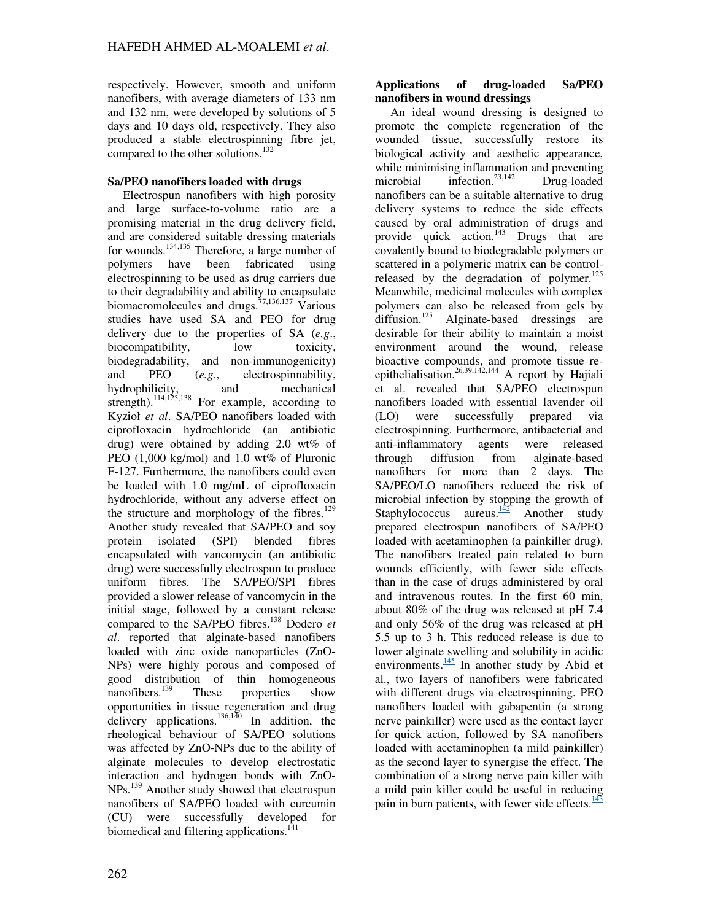respectively. However, smooth and uniform nanofibers, with average diameters of 133 nm and 132 nm, were developed by solutions of 5 days and 10 days old, respectively. They also produced a stable electrospinning fibre jet, compared to the other solutions.<sup>132</sup>

# **Sa/PEO nanofibers loaded with drugs**

Electrospun nanofibers with high porosity and large surface-to-volume ratio are a promising material in the drug delivery field, and are considered suitable dressing materials for wounds.134,135 Therefore, a large number of polymers have been fabricated using electrospinning to be used as drug carriers due to their degradability and ability to encapsulate biomacromolecules and drugs.<sup>77,136,137</sup> Various studies have used SA and PEO for drug delivery due to the properties of SA (*e.g*., biocompatibility, low toxicity, biodegradability, and non-immunogenicity) and PEO (*e.g*., electrospinnability, hydrophilicity, and mechanical strength).<sup>114,125,138</sup> For example, according to Kyzioł *et al*. SA/PEO nanofibers loaded with ciprofloxacin hydrochloride (an antibiotic drug) were obtained by adding 2.0 wt% of PEO (1,000 kg/mol) and 1.0 wt% of Pluronic F-127. Furthermore, the nanofibers could even be loaded with 1.0 mg/mL of ciprofloxacin hydrochloride, without any adverse effect on the structure and morphology of the fibres.<sup>129</sup> Another study revealed that SA/PEO and soy protein isolated (SPI) blended fibres encapsulated with vancomycin (an antibiotic drug) were successfully electrospun to produce uniform fibres. The SA/PEO/SPI fibres provided a slower release of vancomycin in the initial stage, followed by a constant release compared to the SA/PEO fibres.<sup>138</sup> Dodero *et al*. reported that alginate-based nanofibers loaded with zinc oxide nanoparticles (ZnO-NPs) were highly porous and composed of good distribution of thin homogeneous nanofibers.<sup>139</sup> These properties show opportunities in tissue regeneration and drug delivery applications.<sup>136,140</sup> In addition, the rheological behaviour of SA/PEO solutions was affected by ZnO-NPs due to the ability of alginate molecules to develop electrostatic interaction and hydrogen bonds with ZnO-NPs.<sup>139</sup> Another study showed that electrospun nanofibers of SA/PEO loaded with curcumin (CU) were successfully developed for biomedical and filtering applications.<sup>141</sup>

## **Applications of drug-loaded Sa/PEO nanofibers in wound dressings**

An ideal wound dressing is designed to promote the complete regeneration of the wounded tissue, successfully restore its biological activity and aesthetic appearance, while minimising inflammation and preventing microbial infection.<sup>23,142</sup> Drug-loaded nanofibers can be a suitable alternative to drug delivery systems to reduce the side effects caused by oral administration of drugs and provide quick action.<sup>143</sup> Drugs that are covalently bound to biodegradable polymers or scattered in a polymeric matrix can be controlreleased by the degradation of polymer. $125$ Meanwhile, medicinal molecules with complex polymers can also be released from gels by diffusion.<sup>125</sup> Alginate-based dressings are desirable for their ability to maintain a moist environment around the wound, release bioactive compounds, and promote tissue reepithelialisation.<sup>26,39,142,144</sup> A report by Hajiali et al. revealed that SA/PEO electrospun nanofibers loaded with essential lavender oil (LO) were successfully prepared via electrospinning. Furthermore, antibacterial and anti-inflammatory agents were released through diffusion from alginate-based nanofibers for more than 2 days. The SA/PEO/LO nanofibers reduced the risk of microbial infection by stopping the growth of Staphylococcus aureus. $\frac{142}{12}$  Another study prepared electrospun nanofibers of SA/PEO loaded with acetaminophen (a painkiller drug). The nanofibers treated pain related to burn wounds efficiently, with fewer side effects than in the case of drugs administered by oral and intravenous routes. In the first 60 min, about 80% of the drug was released at pH 7.4 and only 56% of the drug was released at pH 5.5 up to 3 h. This reduced release is due to lower alginate swelling and solubility in acidic environments. $\frac{145}{1}$  In another study by Abid et al., two layers of nanofibers were fabricated with different drugs via electrospinning. PEO nanofibers loaded with gabapentin (a strong nerve painkiller) were used as the contact layer for quick action, followed by SA nanofibers loaded with acetaminophen (a mild painkiller) as the second layer to synergise the effect. The combination of a strong nerve pain killer with a mild pain killer could be useful in reducing pain in burn patients, with fewer side effects. $\frac{143}{143}$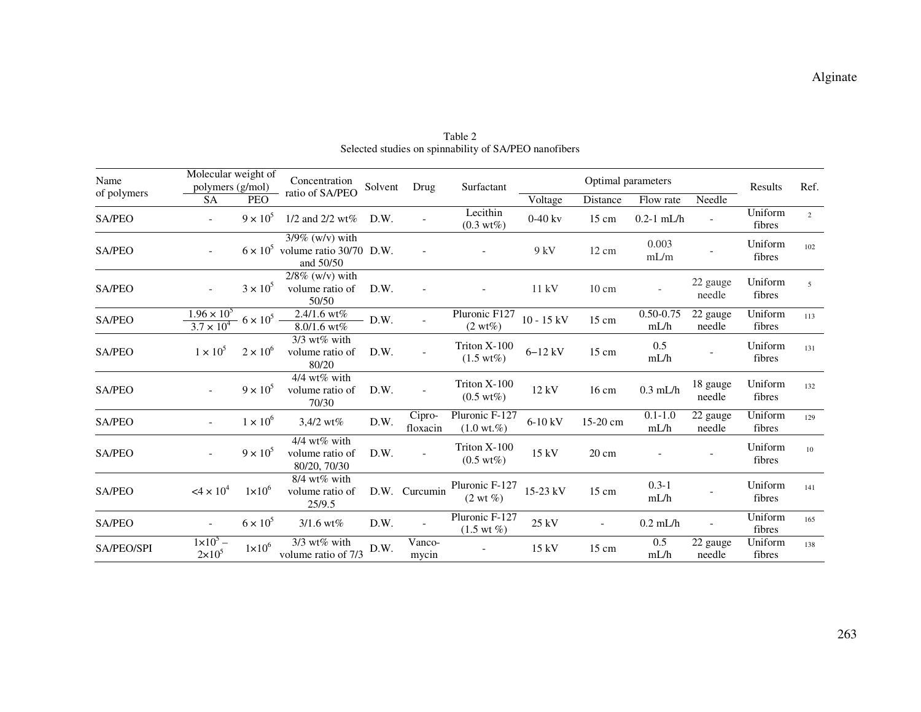| Name              | Molecular weight of<br>polymers (g/mol)                                                      |                   | Concentration                                                              | Solvent | Drug               | Surfactant                               | Optimal parameters |                          |                       |                    | Results           | Ref.           |
|-------------------|----------------------------------------------------------------------------------------------|-------------------|----------------------------------------------------------------------------|---------|--------------------|------------------------------------------|--------------------|--------------------------|-----------------------|--------------------|-------------------|----------------|
| of polymers       | <b>SA</b>                                                                                    | <b>PEO</b>        | ratio of SA/PEO                                                            |         |                    |                                          | Voltage            | Distance                 | Flow rate             | Needle             |                   |                |
| SA/PEO            | $\sim$                                                                                       | $9 \times 10^5$   | 1/2 and 2/2 wt%                                                            | D.W.    |                    | Lecithin<br>$(0.3 \text{ wt\%})$         | $0-40$ kv          | 15 cm                    | $0.2 - 1$ mL/h        |                    | Uniform<br>fibres | $\overline{2}$ |
| SA/PEO            | $\sim$                                                                                       |                   | $3/9\%$ (w/v) with<br>$6 \times 10^5$ volume ratio 30/70 D.W.<br>and 50/50 |         |                    |                                          | 9 kV               | $12 \text{ cm}$          | 0.003<br>mL/m         |                    | Uniform<br>fibres | 102            |
| SA/PEO            |                                                                                              | $3 \times 10^5$   | $2/8\%$ (w/v) with<br>volume ratio of<br>50/50                             | D.W.    |                    |                                          | 11 kV              | $10 \text{ cm}$          |                       | 22 gauge<br>needle | Uniform<br>fibres | 5              |
| SA/PEO            | $1.96 \times 10^{5}$<br>$\frac{100 \times 10^{10}}{3.7 \times 10^{4}}$ 6 × 10 <sup>5</sup> – |                   | 2.4/1.6 $wt%$<br>8.0/1.6 wt%                                               | $-D.W.$ |                    | Pluronic F127<br>$(2 wt\%)$              | $10 - 15$ kV       | 15 cm                    | $0.50 - 0.75$<br>mL/h | 22 gauge<br>needle | Uniform<br>fibres | 113            |
| SA/PEO            | $1 \times 10^5$                                                                              | $2 \times 10^6$   | $3/3$ wt% with<br>volume ratio of<br>80/20                                 | D.W.    |                    | Triton X-100<br>$(1.5 \text{ wt\%})$     | $6 - 12$ kV        | $15 \text{ cm}$          | 0.5<br>mL/h           |                    | Uniform<br>fibres | 131            |
| SA/PEO            | $\sim$                                                                                       | $9 \times 10^5$   | $4/4$ wt% with<br>volume ratio of<br>70/30                                 | D.W.    |                    | Triton X-100<br>$(0.5 \text{ wt\%})$     | 12 kV              | $16 \text{ cm}$          | $0.3$ mL/h            | 18 gauge<br>needle | Uniform<br>fibres | 132            |
| <b>SA/PEO</b>     | $\overline{\phantom{a}}$                                                                     | $1 \times 10^{6}$ | $3,4/2$ wt%                                                                | D.W.    | Cipro-<br>floxacin | Pluronic F-127<br>$(1.0 \text{ wt.}\%)$  | 6-10 kV            | 15-20 cm                 | $0.1 - 1.0$<br>mL/h   | 22 gauge<br>needle | Uniform<br>fibres | 129            |
| <b>SA/PEO</b>     | $\overline{\phantom{a}}$                                                                     | $9 \times 10^5$   | 4/4 wt% with<br>volume ratio of<br>80/20, 70/30                            | D.W.    |                    | Triton $X-100$<br>$(0.5 \text{ wt\%})$   | 15 kV              | $20 \text{ cm}$          |                       |                    | Uniform<br>fibres | 10             |
| SA/PEO            | $4 \times 10^4$                                                                              | $1\times10^{6}$   | $8/4$ wt% with<br>volume ratio of<br>25/9.5                                |         | D.W. Curcumin      | Pluronic F-127<br>$(2 \text{ wt } \%)$   | 15-23 kV           | $15 \text{ cm}$          | $0.3 - 1$<br>mL/h     |                    | Uniform<br>fibres | 141            |
| <b>SA/PEO</b>     | $\overline{\phantom{a}}$                                                                     | $6 \times 10^5$   | $3/1.6$ wt%                                                                | D.W.    |                    | Pluronic F-127<br>$(1.5 \text{ wt } \%)$ | $25$ kV            | $\overline{\phantom{a}}$ | $0.2$ mL/h            |                    | Uniform<br>fibres | 165            |
| <b>SA/PEO/SPI</b> | $1 \times 10^5$ –<br>$2\times10^5$                                                           | $1\times10^6$     | $3/3$ wt% with<br>volume ratio of 7/3                                      | D.W.    | Vanco-<br>mycin    |                                          | 15kV               | 15 cm                    | 0.5<br>mL/h           | 22 gauge<br>needle | Uniform<br>fibres | 138            |

Table 2 Selected studies on spinnability of SA/PEO nanofibers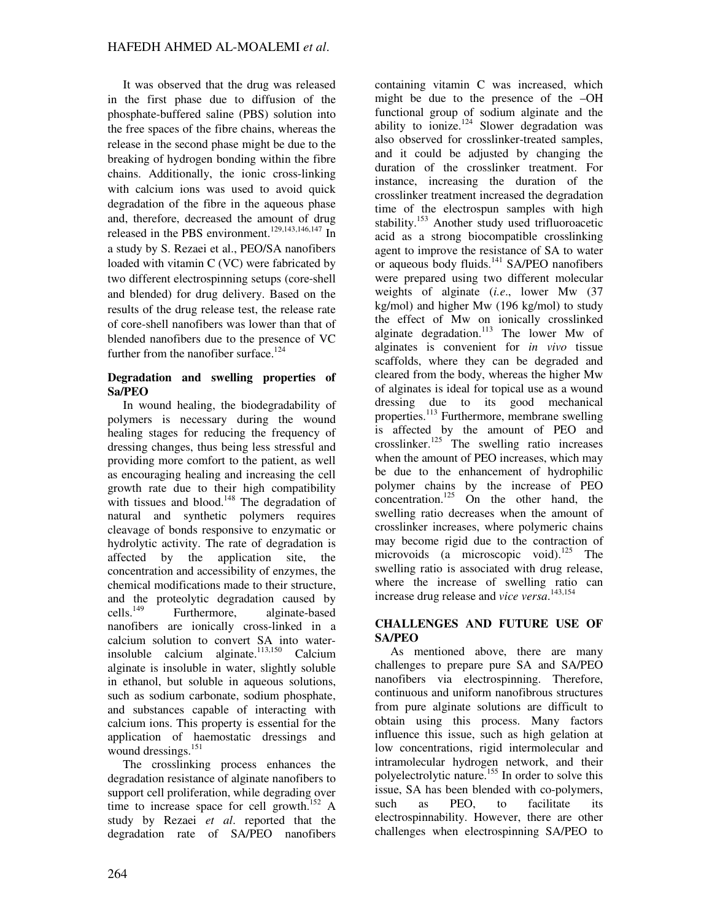It was observed that the drug was released in the first phase due to diffusion of the phosphate-buffered saline (PBS) solution into the free spaces of the fibre chains, whereas the release in the second phase might be due to the breaking of hydrogen bonding within the fibre chains. Additionally, the ionic cross-linking with calcium ions was used to avoid quick degradation of the fibre in the aqueous phase and, therefore, decreased the amount of drug released in the PBS environment.<sup>129,143,146,147</sup> In a study by S. Rezaei et al., PEO/SA nanofibers loaded with vitamin C (VC) were fabricated by two different electrospinning setups (core‐shell and blended) for drug delivery. Based on the results of the drug release test, the release rate of core-shell nanofibers was lower than that of blended nanofibers due to the presence of VC further from the nanofiber surface. $124$ 

## **Degradation and swelling properties of Sa/PEO**

In wound healing, the biodegradability of polymers is necessary during the wound healing stages for reducing the frequency of dressing changes, thus being less stressful and providing more comfort to the patient, as well as encouraging healing and increasing the cell growth rate due to their high compatibility with tissues and blood.<sup>148</sup> The degradation of natural and synthetic polymers requires cleavage of bonds responsive to enzymatic or hydrolytic activity. The rate of degradation is affected by the application site, the concentration and accessibility of enzymes, the chemical modifications made to their structure, and the proteolytic degradation caused by cells.<sup>149</sup> Furthermore, alginate-based nanofibers are ionically cross-linked in a calcium solution to convert SA into waterinsoluble calcium alginate. $113,150$  Calcium alginate is insoluble in water, slightly soluble in ethanol, but soluble in aqueous solutions, such as sodium carbonate, sodium phosphate, and substances capable of interacting with calcium ions. This property is essential for the application of haemostatic dressings and wound dressings.<sup>151</sup>

The crosslinking process enhances the degradation resistance of alginate nanofibers to support cell proliferation, while degrading over time to increase space for cell growth.<sup>152</sup> A study by Rezaei *et al*. reported that the degradation rate of SA/PEO nanofibers

containing vitamin C was increased, which might be due to the presence of the –OH functional group of sodium alginate and the ability to ionize.<sup>124</sup> Slower degradation was also observed for crosslinker-treated samples, and it could be adjusted by changing the duration of the crosslinker treatment. For instance, increasing the duration of the crosslinker treatment increased the degradation time of the electrospun samples with high stability.<sup>153</sup> Another study used trifluoroacetic acid as a strong biocompatible crosslinking agent to improve the resistance of SA to water or aqueous body fluids.<sup>141</sup> SA/PEO nanofibers were prepared using two different molecular weights of alginate (*i.e*., lower Mw (37 kg/mol) and higher Mw (196 kg/mol) to study the effect of Mw on ionically crosslinked alginate degradation.<sup>113</sup> The lower Mw of alginates is convenient for *in vivo* tissue scaffolds, where they can be degraded and cleared from the body, whereas the higher Mw of alginates is ideal for topical use as a wound dressing due to its good mechanical properties.<sup>113</sup> Furthermore, membrane swelling is affected by the amount of PEO and crosslinker.<sup>125</sup> The swelling ratio increases when the amount of PEO increases, which may be due to the enhancement of hydrophilic polymer chains by the increase of PEO concentration.<sup>125</sup> On the other hand, the swelling ratio decreases when the amount of crosslinker increases, where polymeric chains may become rigid due to the contraction of microvoids (a microscopic void).<sup>125</sup> The swelling ratio is associated with drug release, where the increase of swelling ratio can increase drug release and *vice versa*. 143,154

# **CHALLENGES AND FUTURE USE OF SA/PEO**

As mentioned above, there are many challenges to prepare pure SA and SA/PEO nanofibers via electrospinning. Therefore, continuous and uniform nanofibrous structures from pure alginate solutions are difficult to obtain using this process. Many factors influence this issue, such as high gelation at low concentrations, rigid intermolecular and intramolecular hydrogen network, and their polyelectrolytic nature.<sup>155</sup> In order to solve this issue, SA has been blended with co-polymers, such as PEO, to facilitate its electrospinnability. However, there are other challenges when electrospinning SA/PEO to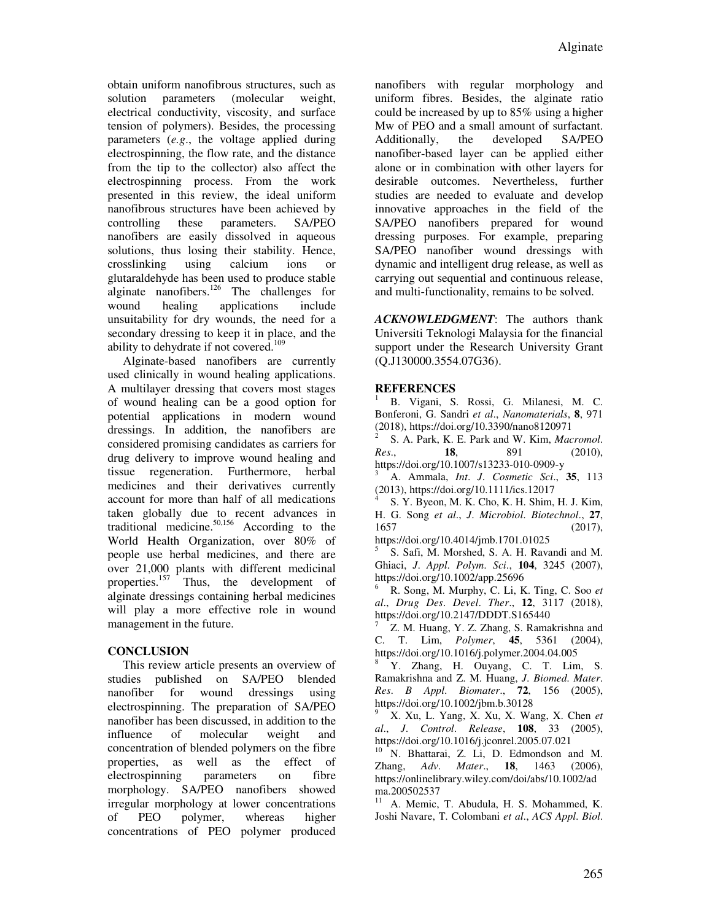obtain uniform nanofibrous structures, such as solution parameters (molecular weight, electrical conductivity, viscosity, and surface tension of polymers). Besides, the processing parameters (*e.g*., the voltage applied during electrospinning, the flow rate, and the distance from the tip to the collector) also affect the electrospinning process. From the work presented in this review, the ideal uniform nanofibrous structures have been achieved by controlling these parameters. SA/PEO nanofibers are easily dissolved in aqueous solutions, thus losing their stability. Hence, crosslinking using calcium ions or glutaraldehyde has been used to produce stable alginate nanofibers.<sup>126</sup> The challenges for wound healing applications include unsuitability for dry wounds, the need for a secondary dressing to keep it in place, and the ability to dehydrate if not covered.<sup>109</sup>

Alginate-based nanofibers are currently used clinically in wound healing applications. A multilayer dressing that covers most stages of wound healing can be a good option for potential applications in modern wound dressings. In addition, the nanofibers are considered promising candidates as carriers for drug delivery to improve wound healing and tissue regeneration. Furthermore, herbal medicines and their derivatives currently account for more than half of all medications taken globally due to recent advances in traditional medicine.50,156 According to the World Health Organization, over 80% of people use herbal medicines, and there are over 21,000 plants with different medicinal properties.<sup>157</sup> Thus, the development of alginate dressings containing herbal medicines will play a more effective role in wound management in the future.

# **CONCLUSION**

This review article presents an overview of studies published on SA/PEO blended nanofiber for wound dressings using electrospinning. The preparation of SA/PEO nanofiber has been discussed, in addition to the influence of molecular weight and concentration of blended polymers on the fibre properties, as well as the effect of electrospinning parameters on fibre morphology. SA/PEO nanofibers showed irregular morphology at lower concentrations of PEO polymer, whereas higher concentrations of PEO polymer produced nanofibers with regular morphology and uniform fibres. Besides, the alginate ratio could be increased by up to 85% using a higher Mw of PEO and a small amount of surfactant. Additionally, the developed SA/PEO nanofiber-based layer can be applied either alone or in combination with other layers for desirable outcomes. Nevertheless, further studies are needed to evaluate and develop innovative approaches in the field of the SA/PEO nanofibers prepared for wound dressing purposes. For example, preparing SA/PEO nanofiber wound dressings with dynamic and intelligent drug release, as well as carrying out sequential and continuous release, and multi-functionality, remains to be solved.

*ACKNOWLEDGMENT*: The authors thank Universiti Teknologi Malaysia for the financial support under the Research University Grant (Q.J130000.3554.07G36).

# **REFERENCES**

1 B. Vigani, S. Rossi, G. Milanesi, M. C. Bonferoni, G. Sandri *et al*., *Nanomaterials*, **8**, 971  $(2018)$ , https://doi.org/10.3390/nano8120971

 S. A. Park, K. E. Park and W. Kim, *Macromol*. *Res*., **18**, 891 (2010), https://doi.org/10.1007/s13233-010-0909-y

3 A. Ammala, *Int*. *J*. *Cosmetic Sci*., **35**, 113 (2013), https://doi.org/10.1111/ics.12017

4 S. Y. Byeon, M. K. Cho, K. H. Shim, H. J. Kim, H. G. Song *et al*., *J*. *Microbiol*. *Biotechnol*., **27**, 1657 (2017),

https://doi.org/10.4014/jmb.1701.01025

5 S. Safi, M. Morshed, S. A. H. Ravandi and M. Ghiaci, *J*. *Appl*. *Polym*. *Sci*., **104**, 3245 (2007), https://doi.org/10.1002/app.25696

6 R. Song, M. Murphy, C. Li, K. Ting, C. Soo *et al*., *Drug Des*. *Devel*. *Ther*., **12**, 3117 (2018), https://doi.org/10.2147/DDDT.S165440

7 Z. M. Huang, Y. Z. Zhang, S. Ramakrishna and C. T. Lim, *Polymer*, **45**, 5361 (2004), https://doi.org/10.1016/j.polymer.2004.04.005

8 Y. Zhang, H. Ouyang, C. T. Lim, S. Ramakrishna and Z. M. Huang, *J*. *Biomed*. *Mater*. *Res*. *B Appl*. *Biomater*., **72**, 156 (2005), https://doi.org/10.1002/jbm.b.30128

9 X. Xu, L. Yang, X. Xu, X. Wang, X. Chen *et al*., *J*. *Control*. *Release*, **108**, 33 (2005), https://doi.org/10.1016/j.jconrel.2005.07.021

<sup>10</sup> N. Bhattarai, Z. Li, D. Edmondson and M. Zhang, *Adv*. *Mater*., **18**, 1463 (2006), https://onlinelibrary.wiley.com/doi/abs/10.1002/ad ma.200502537

<sup>11</sup> A. Memic, T. Abudula, H. S. Mohammed, K. Joshi Navare, T. Colombani *et al*., *ACS Appl*. *Biol*.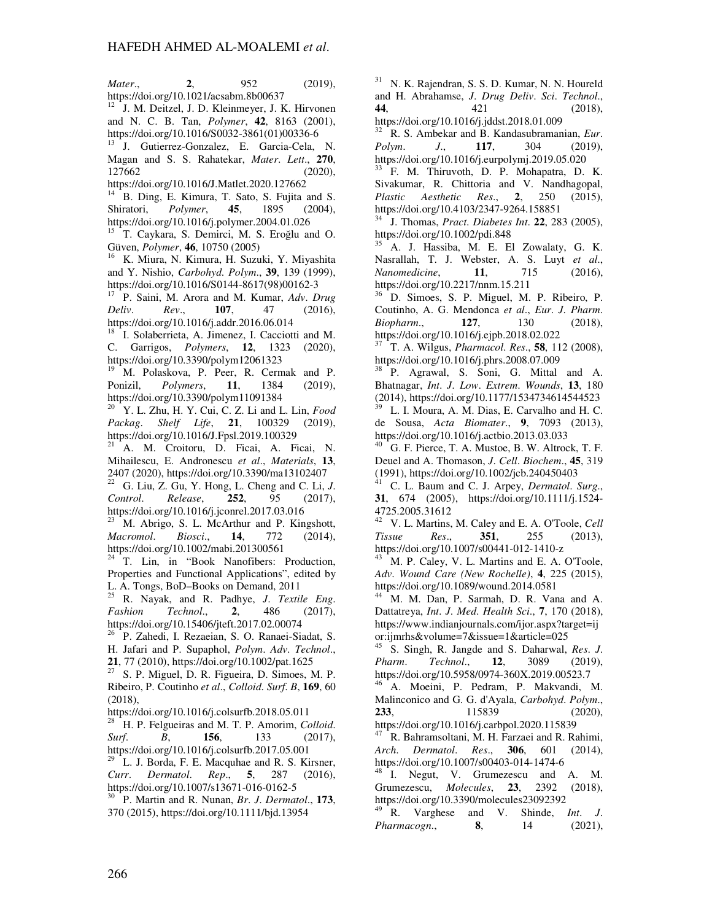*Mater*., **2**, 952 (2019), https://doi.org/10.1021/acsabm.8b00637

<sup>12</sup> J. M. Deitzel, J. D. Kleinmeyer, J. K. Hirvonen and N. C. B. Tan, *Polymer*, **42**, 8163 (2001), https://doi.org/10.1016/S0032-3861(01)00336-6

J. Gutierrez-Gonzalez, E. Garcia-Cela, N. Magan and S. S. Rahatekar, *Mater*. *Lett*., **270**, 127662 (2020),

https://doi.org/10.1016/J.Matlet.2020.127662

<sup>14</sup> B. Ding, E. Kimura, T. Sato, S. Fujita and S. Shiratori, *Polymer*, **45**, 1895 (2004), https://doi.org/10.1016/j.polymer.2004.01.026

<sup>15</sup> T. Caykara, S. Demirci, M. S. Eroğlu and O. Güven, *Polymer*, **46**, 10750 (2005)

<sup>16</sup> K. Miura, N. Kimura, H. Suzuki, Y. Miyashita and Y. Nishio, *Carbohyd*. *Polym*., **39**, 139 (1999), https://doi.org/10.1016/S0144-8617(98)00162-3

<sup>17</sup> P. Saini, M. Arora and M. Kumar, *Adv*. *Drug Deliv*. *Rev*., **107**, 47 (2016), https://doi.org/10.1016/j.addr.2016.06.014

<sup>18</sup> I. Solaberrieta, A. Jimenez, I. Cacciotti and M. C. Garrigos, *Polymers*, **12**, 1323 (2020), https://doi.org/10.3390/polym12061323

<sup>19</sup> M. Polaskova, P. Peer, R. Cermak and P. Ponizil, *Polymers*, **11**, 1384 (2019), https://doi.org/10.3390/polym11091384

<sup>20</sup> Y. L. Zhu, H. Y. Cui, C. Z. Li and L. Lin, *Food Packag*. *Shelf Life*, **21**, 100329 (2019), https://doi.org/10.1016/J.Fpsl.2019.100329

<sup>21</sup> A. M. Croitoru, D. Ficai, A. Ficai, N. Mihailescu, E. Andronescu *et al*., *Materials*, **13**, 2407 (2020), https://doi.org/10.3390/ma13102407

 $22$  G. Liu, Z. Gu, Y. Hong, L. Cheng and C. Li, *J. Control*. *Release*, **252**, 95 (2017), https://doi.org/10.1016/j.jconrel.2017.03.016

 $\frac{23}{10}$  M. Abrigo, S. L. McArthur and P. Kingshott,<br>*Macromol. Biosci.* **14.** 772 (2014). *Macromol*. *Biosci*., **14**, 772 (2014), https://doi.org/10.1002/mabi.201300561

 $24$  T. Lin, in "Book Nanofibers: Production, Properties and Functional Applications", edited by L. A. Tongs, BoD–Books on Demand, 2011

<sup>25</sup> R. Nayak, and R. Padhye, *J*. *Textile Eng*. *Fashion Technol*., **2**, 486 (2017), https://doi.org/10.15406/jteft.2017.02.00074

<sup>26</sup> P. Zahedi, I. Rezaeian, S. O. Ranaei-Siadat, S. H. Jafari and P. Supaphol, *Polym*. *Adv*. *Technol*., **21**, 77 (2010), https://doi.org/10.1002/pat.1625

 $27$  S. P. Miguel, D. R. Figueira, D. Simoes, M. P. Ribeiro, P. Coutinho *et al*., *Colloid*. *Surf*. *B*, **169**, 60 (2018),

https://doi.org/10.1016/j.colsurfb.2018.05.011

<sup>28</sup> H. P. Felgueiras and M. T. P. Amorim, *Colloid.*<br>Surf. **B. 156.** 133 (2017). *Surf*. *B*, **156**, 133 (2017), https://doi.org/10.1016/j.colsurfb.2017.05.001

L. J. Borda, F. E. Macquhae and R. S. Kirsner, *Curr*. *Dermatol*. *Rep*., **5**, 287 (2016), https://doi.org/10.1007/s13671-016-0162-5

<sup>30</sup> P. Martin and R. Nunan, *Br*. *J*. *Dermatol*., **173**, 370 (2015), https://doi.org/10.1111/bjd.13954

<sup>31</sup> N. K. Rajendran, S. S. D. Kumar, N. N. Houreld and H. Abrahamse, *J*. *Drug Deliv*. *Sci*. *Technol*., **44**, 421 (2018), https://doi.org/10.1016/j.jddst.2018.01.009

<sup>32</sup> R. S. Ambekar and B. Kandasubramanian, *Eur*. *Polym*. *J*., **117**, 304 (2019), https://doi.org/10.1016/j.eurpolymj.2019.05.020

<sup>33</sup> F. M. Thiruvoth, D. P. Mohapatra, D. K. Sivakumar, R. Chittoria and V. Nandhagopal, *Plastic Aesthetic Res*., **2**, 250 (2015), https://doi.org/10.4103/2347-9264.158851

<sup>34</sup> J. Thomas, *Pract*. *Diabetes Int*. **22**, 283 (2005), https://doi.org/10.1002/pdi.848

<sup>35</sup> A. J. Hassiba, M. E. El Zowalaty, G. K. Nasrallah, T. J. Webster, A. S. Luyt *et al*., *Nanomedicine*, **11**, 715 (2016), https://doi.org/10.2217/nnm.15.211

<sup>36</sup> D. Simoes, S. P. Miguel, M. P. Ribeiro, P. Coutinho, A. G. Mendonca *et al*., *Eur*. *J*. *Pharm*. *Biopharm*., **127**, 130 (2018), https://doi.org/10.1016/j.ejpb.2018.02.022

<sup>37</sup> T. A. Wilgus, *Pharmacol*. *Res*., **58**, 112 (2008), https://doi.org/10.1016/j.phrs.2008.07.009

<sup>38</sup> P. Agrawal, S. Soni, G. Mittal and A. Bhatnagar, *Int*. *J*. *Low*. *Extrem*. *Wounds*, **13**, 180 (2014), https://doi.org/10.1177/1534734614544523

L. I. Moura, A. M. Dias, E. Carvalho and H. C. de Sousa, *Acta Biomater*., **9**, 7093 (2013), https://doi.org/10.1016/j.actbio.2013.03.033

<sup>40</sup> G. F. Pierce, T. A. Mustoe, B. W. Altrock, T. F. Deuel and A. Thomason, *J*. *Cell*. *Biochem*., **45**, 319  $(1991)$ , https://doi.org/10.1002/jcb.240450403

<sup>41</sup> C. L. Baum and C. J. Arpey, *Dermatol*. *Surg*., **31**, 674 (2005), https://doi.org/10.1111/j.1524- 4725.2005.31612

<sup>42</sup> V. L. Martins, M. Caley and E. A. O'Toole, *Cell Tissue Res.*, **351**, 255 (2013), *Tissue Res*., **351**, 255 (2013), https://doi.org/10.1007/s00441-012-1410-z

M. P. Caley, V. L. Martins and E. A. O'Toole, *Adv*. *Wound Care (New Rochelle)*, **4**, 225 (2015), https://doi.org/10.1089/wound.2014.0581

<sup>44</sup> M. M. Dan, P. Sarmah, D. R. Vana and A. Dattatreya, *Int*. *J*. *Med*. *Health Sci*., **7**, 170 (2018), https://www.indianjournals.com/ijor.aspx?target=ij or:ijmrhs&volume=7&issue=1&article=025

<sup>45</sup> S. Singh, R. Jangde and S. Daharwal, *Res*. *J*. *Pharm. Technol.*, **12**, 3089 https://doi.org/10.5958/0974-360X.2019.00523.7

<sup>46</sup> A. Moeini, P. Pedram, P. Makvandi, M. Malinconico and G. G. d'Ayala, *Carbohyd*. *Polym*., **233**, 115839 (2020),

https://doi.org/10.1016/j.carbpol.2020.115839

<sup>47</sup> R. Bahramsoltani, M. H. Farzaei and R. Rahimi, *Arch. Dermatol. Res.*, **306**, 601 (2014). *Arch. Dermatol. Res.*, **306**, 601 https://doi.org/10.1007/s00403-014-1474-6

<sup>48</sup> I. Negut, V. Grumezescu and A. M. Grumezescu, *Molecules*, **23**, 2392 (2018), https://doi.org/10.3390/molecules23092392

<sup>49</sup> R. Varghese and V. Shinde, *Int*. *J*. *Pharmacogn*., **8**, 14 (2021),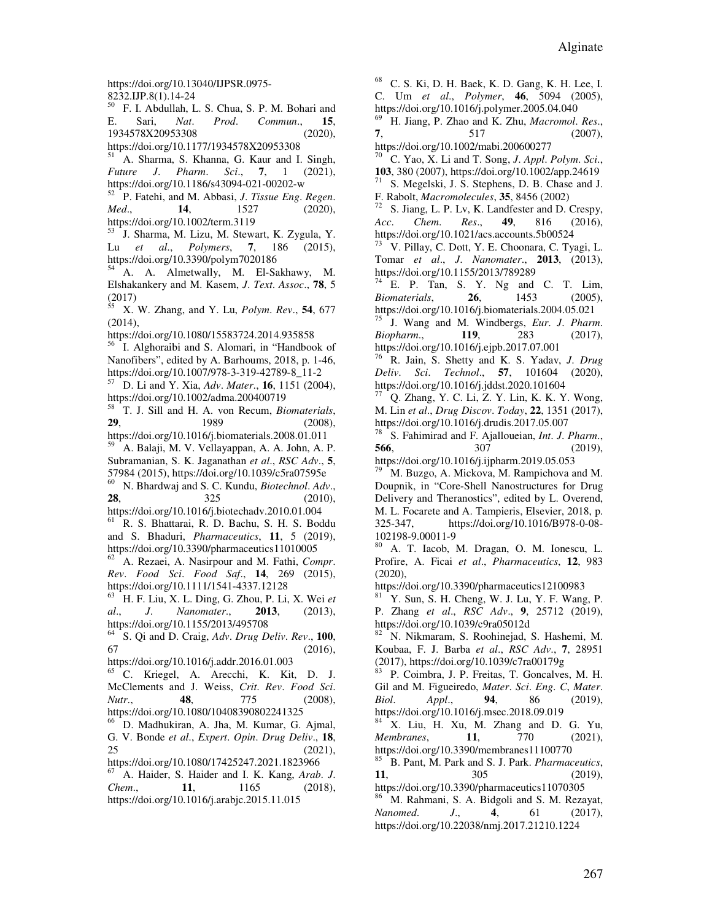https://doi.org/10.13040/IJPSR.0975- 8232.IJP.8(1).14-24

<sup>50</sup> F. I. Abdullah, L. S. Chua, S. P. M. Bohari and E. Sari, *Nat*. *Prod*. *Commun*., **15**, 1934578X20953308 (2020), https://doi.org/10.1177/1934578X20953308

<sup>51</sup> A. Sharma, S. Khanna, G. Kaur and I. Singh, *Future J*. *Pharm*. *Sci*., **7**, 1 (2021), https://doi.org/10.1186/s43094-021-00202-w

<sup>52</sup> P. Fatehi, and M. Abbasi, *J*. *Tissue Eng*. *Regen*. *Med*., **14**, 1527 (2020), https://doi.org/10.1002/term.3119

<sup>53</sup> J. Sharma, M. Lizu, M. Stewart, K. Zygula, Y. Lu *et al*., *Polymers*, **7**, 186 (2015), https://doi.org/10.3390/polym7020186

<sup>54</sup> A. A. Almetwally, M. El-Sakhawy, M. Elshakankery and M. Kasem, *J*. *Text*. *Assoc*., **78**, 5 (2017)

<sup>55</sup> X. W. Zhang, and Y. Lu, *Polym*. *Rev*., **54**, 677 (2014),

https://doi.org/10.1080/15583724.2014.935858

<sup>56</sup> I. Alghoraibi and S. Alomari, in "Handbook of Nanofibers", edited by A. Barhoums, 2018, p. 1-46, https://doi.org/10.1007/978-3-319-42789-8\_11-2

<sup>57</sup> D. Li and Y. Xia, *Adv*. *Mater*., **16**, 1151 (2004), https://doi.org/10.1002/adma.200400719

<sup>58</sup> T. J. Sill and H. A. von Recum, *Biomaterials*, **29**, 1989 (2008),

https://doi.org/10.1016/j.biomaterials.2008.01.011 <sup>59</sup> A. Balaji, M. V. Vellayappan, A. A. John, A. P.

Subramanian, S. K. Jaganathan *et al*., *RSC Adv*., **5**, 57984 (2015), https://doi.org/10.1039/c5ra07595e

<sup>60</sup> N. Bhardwaj and S. C. Kundu, *Biotechnol*. *Adv*., **28**, 325 (2010),

https://doi.org/10.1016/j.biotechadv.2010.01.004 <sup>61</sup> R. S. Bhattarai, R. D. Bachu, S. H. S. Boddu and S. Bhaduri, *Pharmaceutics*, **11**, 5 (2019),

https://doi.org/10.3390/pharmaceutics11010005

<sup>62</sup> A. Rezaei, A. Nasirpour and M. Fathi, *Compr*. *Rev*. *Food Sci*. *Food Saf*., **14**, 269 (2015), https://doi.org/10.1111/1541-4337.12128

<sup>63</sup> H. F. Liu, X. L. Ding, G. Zhou, P. Li, X. Wei *et al*., *J*. *Nanomater*., **2013**, (2013), https://doi.org/10.1155/2013/495708

<sup>64</sup> S. Qi and D. Craig, *Adv*. *Drug Deliv*. *Rev*., **100**,  $(2016),$ 

https://doi.org/10.1016/j.addr.2016.01.003

<sup>65</sup> C. Kriegel, A. Arecchi, K. Kit, D. J. McClements and J. Weiss, *Crit*. *Rev*. *Food Sci*. *Nutr*., **48**, 775 (2008), https://doi.org/10.1080/10408390802241325

<sup>66</sup> D. Madhukiran, A. Jha, M. Kumar, G. Ajmal, G. V. Bonde *et al*., *Expert*. *Opin*. *Drug Deliv*., **18**, 25 (2021),

https://doi.org/10.1080/17425247.2021.1823966 <sup>67</sup> A. Haider, S. Haider and I. K. Kang, *Arab*. *J*. *Chem*., **11**, 1165 (2018), https://doi.org/10.1016/j.arabjc.2015.11.015

<sup>68</sup> C. S. Ki, D. H. Baek, K. D. Gang, K. H. Lee, I.

C. Um *et al*., *Polymer*, **46**, 5094 (2005), https://doi.org/10.1016/j.polymer.2005.04.040

<sup>69</sup> H. Jiang, P. Zhao and K. Zhu, *Macromol*. *Res*., **7**, 517 (2007),

https://doi.org/10.1002/mabi.200600277

<sup>70</sup> C. Yao, X. Li and T. Song, *J*. *Appl*. *Polym*. *Sci*., **103**, 380 (2007), https://doi.org/10.1002/app.24619 S. Megelski, J. S. Stephens, D. B. Chase and J.

F. Rabolt, *Macromolecules*, **35**, 8456 (2002)

S. Jiang, L. P. Lv, K. Landfester and D. Crespy, *Acc*. *Chem*. *Res*., **49**, 816 (2016), https://doi.org/10.1021/acs.accounts.5b00524

<sup>73</sup> V. Pillay, C. Dott, Y. E. Choonara, C. Tyagi, L. Tomar *et al*., *J*. *Nanomater*., **2013**, (2013), https://doi.org/10.1155/2013/789289

 $74$  E. P. Tan, S. Y. Ng and C. T. Lim, *Biomaterials*, **26**, 1453 (2005), https://doi.org/10.1016/j.biomaterials.2004.05.021

<sup>75</sup> J. Wang and M. Windbergs, *Eur*. *J*. *Pharm*. *Biopharm*., **119**, 283 (2017), https://doi.org/10.1016/j.ejpb.2017.07.001

<sup>76</sup> R. Jain, S. Shetty and K. S. Yadav, *J*. *Drug Deliv*. *Sci*. *Technol*., **57**, 101604 (2020), https://doi.org/10.1016/j.jddst.2020.101604

Q. Zhang, Y. C. Li, Z. Y. Lin, K. K. Y. Wong, M. Lin *et al*., *Drug Discov*. *Today*, **22**, 1351 (2017), https://doi.org/10.1016/j.drudis.2017.05.007

<sup>78</sup> S. Fahimirad and F. Ajalloueian, *Int*. *J*. *Pharm*., **566**, 307 (2019), https://doi.org/10.1016/j.ijpharm.2019.05.053

M. Buzgo, A. Mickova, M. Rampichova and M. Doupnik, in "Core-Shell Nanostructures for Drug Delivery and Theranostics", edited by L. Overend, M. L. Focarete and A. Tampieris, Elsevier, 2018, p.<br>325-347, https://doi.org/10.1016/B978-0-08https://doi.org/10.1016/B978-0-08-102198-9.00011-9

A. T. Iacob, M. Dragan, O. M. Ionescu, L. Profire, A. Ficai *et al*., *Pharmaceutics*, **12**, 983  $(2020)$ ,

https://doi.org/10.3390/pharmaceutics12100983

 $81$  Y. Sun, S. H. Cheng, W. J. Lu, Y. F. Wang, P. P. Zhang *et al*., *RSC Adv*., **9**, 25712 (2019), https://doi.org/10.1039/c9ra05012d

<sup>82</sup> N. Nikmaram, S. Roohinejad, S. Hashemi, M. Koubaa, F. J. Barba *et al*., *RSC Adv*., **7**, 28951 (2017), https://doi.org/10.1039/c7ra00179g

<sup>83</sup> P. Coimbra, J. P. Freitas, T. Goncalves, M. H. Gil and M. Figueiredo, *Mater*. *Sci*. *Eng*. *C*, *Mater*. *Biol*. *Appl*., **94**, 86 (2019), https://doi.org/10.1016/j.msec.2018.09.019

 $4$  X. Liu, H. Xu, M. Zhang and D. G. Yu, *Membranes*, **11**, 770 (2021), https://doi.org/10.3390/membranes11100770

<sup>85</sup> B. Pant, M. Park and S. J. Park. *Pharmaceutics*, **11**, 305 (2019),

https://doi.org/10.3390/pharmaceutics11070305 <sup>86</sup> M. Rahmani, S. A. Bidgoli and S. M. Rezayat, *Nanomed*. *J*., **4**, 61 (2017), https://doi.org/10.22038/nmj.2017.21210.1224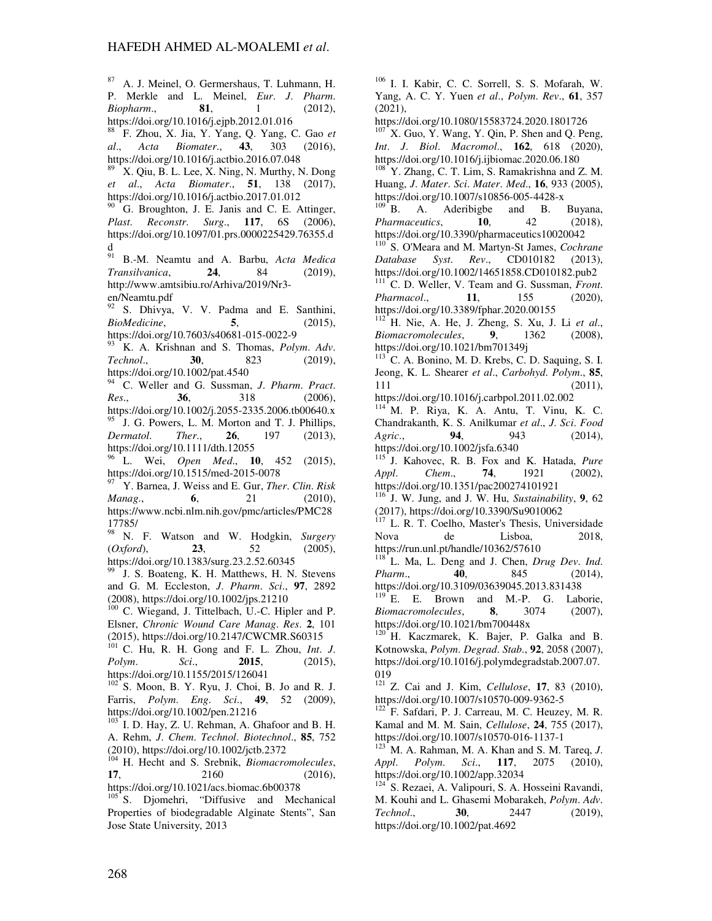<sup>87</sup> A. J. Meinel, O. Germershaus, T. Luhmann, H. P. Merkle and L. Meinel, *Eur*. *J*. *Pharm*. *Biopharm*., **81**, 1 (2012), https://doi.org/10.1016/j.ejpb.2012.01.016

<sup>88</sup> F. Zhou, X. Jia, Y. Yang, Q. Yang, C. Gao *et al*., *Acta Biomater*., **43**, 303 (2016), https://doi.org/10.1016/j.actbio.2016.07.048

X. Qiu, B. L. Lee, X. Ning, N. Murthy, N. Dong *et al*., *Acta Biomater*., **51**, 138 (2017), https://doi.org/10.1016/j.actbio.2017.01.012

G. Broughton, J. E. Janis and C. E. Attinger, *Plast*. *Reconstr*. *Surg*., **117**, 6S (2006), https://doi.org/10.1097/01.prs.0000225429.76355.d  $_{91}^{\mathbf{d}}$ 

<sup>91</sup> B.-M. Neamtu and A. Barbu, *Acta Medica Transilvanica*, **24**, 84 (2019), http://www.amtsibiu.ro/Arhiva/2019/Nr3 en/Neamtu.pdf

<sup>92</sup> S. Dhivya, V. V. Padma and E. Santhini, *BioMedicine*, **5**, (2015), https://doi.org/10.7603/s40681-015-0022-9

<sup>93</sup> K. A. Krishnan and S. Thomas, *Polym*. *Adv*. *Technol*., **30**, 823 (2019), https://doi.org/10.1002/pat.4540

<sup>94</sup> C. Weller and G. Sussman, *J*. *Pharm*. *Pract*. *Res*., **36**, 318 (2006),

https://doi.org/10.1002/j.2055-2335.2006.tb00640.x <sup>95</sup> J. G. Powers, L. M. Morton and T. J. Phillips, *Dermatol*. *Ther*., **26**, 197 (2013), https://doi.org/10.1111/dth.12055

<sup>96</sup> L. Wei, *Open Med*., **10**, 452 (2015), https://doi.org/10.1515/med-2015-0078

<sup>97</sup> Y. Barnea, J. Weiss and E. Gur, *Ther*. *Clin*. *Risk Manag.*, **6**, https://www.ncbi.nlm.nih.gov/pmc/articles/PMC28 17785/

<sup>98</sup> N. F. Watson and W. Hodgkin, *Surgery*  (*Oxford*), **23**, 52 (2005), https://doi.org/10.1383/surg.23.2.52.60345

J. S. Boateng, K. H. Matthews, H. N. Stevens and G. M. Eccleston, *J*. *Pharm*. *Sci*., **97**, 2892 (2008), https://doi.org/10.1002/jps.21210

<sup>100</sup> C. Wiegand, J. Tittelbach, U.-C. Hipler and P. Elsner, *Chronic Wound Care Manag*. *Res*. **2**, 101 (2015), https://doi.org/10.2147/CWCMR.S60315

<sup>101</sup> C. Hu, R. H. Gong and F. L. Zhou, *Int*. *J*. *Polym*. *Sci*., **2015**, (2015), https://doi.org/10.1155/2015/126041

 $102^{\circ}$  S. Moon, B. Y. Ryu, J. Choi, B. Jo and R. J. Farris, *Polym*. *Eng*. *Sci*., **49**, 52 (2009), https://doi.org/10.1002/pen.21216

I. D. Hay, Z. U. Rehman, A. Ghafoor and B. H. A. Rehm, *J*. *Chem*. *Technol*. *Biotechnol*., **85**, 752 (2010), https://doi.org/10.1002/jctb.2372

104 H. Hecht and S. Srebnik, *Biomacromolecules*,<br>17, 2160 (2016), **17**, 2160 (2016), https://doi.org/10.1021/acs.biomac.6b00378

 $105$  S. Djomehri, "Diffusive and Mechanical Properties of biodegradable Alginate Stents", San Jose State University, 2013

<sup>106</sup> I. I. Kabir, C. C. Sorrell, S. S. Mofarah, W. Yang, A. C. Y. Yuen *et al*., *Polym*. *Rev*., **61**, 357  $(2021)$ ,

https://doi.org/10.1080/15583724.2020.1801726

 $107$  X. Guo, Y. Wang, Y. Qin, P. Shen and Q. Peng, *Int*. *J*. *Biol*. *Macromol*., **162**, 618 (2020), https://doi.org/10.1016/j.ijbiomac.2020.06.180

<sup>108</sup> Y. Zhang, C. T. Lim, S. Ramakrishna and Z. M. Huang, *J*. *Mater*. *Sci*. *Mater*. *Med*., **16**, 933 (2005), https://doi.org/10.1007/s10856-005-4428-x

B. A. Aderibigbe and B. Buyana, *Pharmaceutics*, **10**, 42 (2018), https://doi.org/10.3390/pharmaceutics10020042

<sup>110</sup> S. O'Meara and M. Martyn-St James, *Cochrane Database Syst*. *Rev*., CD010182 (2013), https://doi.org/10.1002/14651858.CD010182.pub2 <sup>111</sup> C. D. Weller, V. Team and G. Sussman, *Front*.

*Pharmacol*., **11**, 155 (2020), https://doi.org/10.3389/fphar.2020.00155

<sup>112</sup> H. Nie, A. He, J. Zheng, S. Xu, J. Li *et al*., *Biomacromolecules*, **9**, 1362 (2008), https://doi.org/10.1021/bm701349j

 $113$  C. A. Bonino, M. D. Krebs, C. D. Saquing, S. I. Jeong, K. L. Shearer *et al*., *Carbohyd*. *Polym*., **85**, 111 (2011),

https://doi.org/10.1016/j.carbpol.2011.02.002  $114$  M. P. Riya, K. A. Antu, T. Vinu, K. C.

Chandrakanth, K. S. Anilkumar *et al*., *J*. *Sci*. *Food Agric*., **94**, 943 (2014), https://doi.org/10.1002/jsfa.6340

<sup>115</sup> J. Kahovec, R. B. Fox and K. Hatada, *Pure Appl. Chem.*, **74**, 1921 (2002), *Appl*. *Chem*., **74**, 1921 (2002), https://doi.org/10.1351/pac200274101921

<sup>116</sup> J. W. Jung, and J. W. Hu, *Sustainability*, **9**, 62 (2017), https://doi.org/10.3390/Su9010062

<sup>117</sup> L. R. T. Coelho, Master's Thesis, Universidade Nova de Lisboa, 2018, https://run.unl.pt/handle/10362/57610

<sup>118</sup> L. Ma, L. Deng and J. Chen, *Drug Dev*. *Ind*. *Pharm*., **40**, 845 (2014), https://doi.org/10.3109/03639045.2013.831438

 $119<sup>119</sup>$  E. E. Brown and M.-P. G. Laborie, *Biomacromolecules*, **8**, 3074 (2007), https://doi.org/10.1021/bm700448x

<sup>1</sup> H. Kaczmarek, K. Bajer, P. Galka and B. Kotnowska, *Polym*. *Degrad*. *Stab*., **92**, 2058 (2007), https://doi.org/10.1016/j.polymdegradstab.2007.07. 019

<sup>121</sup> Z. Cai and J. Kim, *Cellulose*, **17**, 83 (2010), https://doi.org/10.1007/s10570-009-9362-5

<sup>122</sup> F. Safdari, P. J. Carreau, M. C. Heuzey, M. R. Kamal and M. M. Sain, *Cellulose*, **24**, 755 (2017), https://doi.org/10.1007/s10570-016-1137-1

 $^{123}$ <sup>123</sup> M. A. Rahman, M. A. Khan and S. M. Tareq, *J. Appl. Polym. Sci.*, **117**, 2075 (2010). *Appl*. *Polym*. *Sci*., **117**, 2075 (2010), https://doi.org/10.1002/app.32034

<sup>5</sup> S. Rezaei, A. Valipouri, S. A. Hosseini Ravandi, M. Kouhi and L. Ghasemi Mobarakeh, *Polym*. *Adv*. *Technol*., **30**, 2447 (2019), https://doi.org/10.1002/pat.4692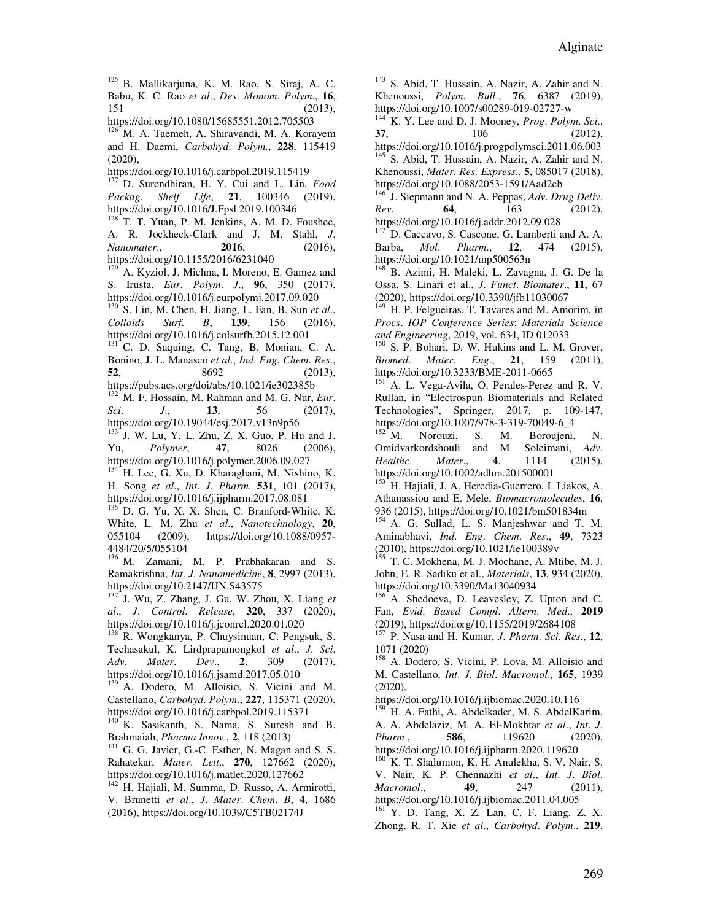<sup>125</sup> B. Mallikarjuna, K. M. Rao, S. Siraj, A. C. Babu, K. C. Rao *et al*., *Des*. *Monom*. *Polym*., **16**, 151 (2013),

https://doi.org/10.1080/15685551.2012.705503

<sup>126</sup> M. A. Taemeh, A. Shiravandi, M. A. Korayem and H. Daemi, *Carbohyd*. *Polym*., **228**, 115419 (2020),

https://doi.org/10.1016/j.carbpol.2019.115419

<sup>127</sup> D. Surendhiran, H. Y. Cui and L. Lin, *Food Packag*. *Shelf Life*, **21**, 100346 (2019), https://doi.org/10.1016/J.Fpsl.2019.100346

 $128$  T. T. Yuan, P. M. Jenkins, A. M. D. Foushee, A. R. Jockheck-Clark and J. M. Stahl, *J*. *Nanomater*., **2016**, (2016), https://doi.org/10.1155/2016/6231040

A. Kyzioł, J. Michna, I. Moreno, E. Gamez and S. Irusta, *Eur*. *Polym*. *J*., **96**, 350 (2017), https://doi.org/10.1016/j.eurpolymj.2017.09.020

<sup>130</sup> S. Lin, M. Chen, H. Jiang, L. Fan, B. Sun *et al*., *Colloids Surf*. *B*, **139**, 156 (2016), https://doi.org/10.1016/j.colsurfb.2015.12.001

<sup>131</sup> C. D. Saquing, C. Tang, B. Monian, C. A. Bonino, J. L. Manasco *et al*., *Ind*. *Eng*. *Chem*. *Res*., **52**, 8692 (2013),

https://pubs.acs.org/doi/abs/10.1021/ie302385b <sup>132</sup> M. F. Hossain, M. Rahman and M. G. Nur, *Eur*. *Sci*. *J*., **13**, 56 (2017),

https://doi.org/10.19044/esj.2017.v13n9p56

<sup>133</sup> J. W. Lu, Y. L. Zhu, Z. X. Guo, P. Hu and J. Yu, *Polymer*, **47**, 8026 (2006), https://doi.org/10.1016/j.polymer.2006.09.027

<sup>134</sup> H. Lee, G. Xu, D. Kharaghani, M. Nishino, K. H. Song *et al*., *Int*. *J*. *Pharm*. **531**, 101 (2017), https://doi.org/10.1016/j.ijpharm.2017.08.081

D. G. Yu, X. X. Shen, C. Branford-White, K. White, L. M. Zhu *et al*., *Nanotechnology*, **20**, 055104 (2009), https://doi.org/10.1088/0957- 4484/20/5/055104

<sup>136</sup> M. Zamani, M. P. Prabhakaran and S. Ramakrishna, *Int*. *J*. *Nanomedicine*, **8**, 2997 (2013), https://doi.org/10.2147/IJN.S43575

<sup>137</sup> J. Wu, Z. Zhang, J. Gu, W. Zhou, X. Liang *et al*., *J*. *Control*. *Release*, **320**, 337 (2020), https://doi.org/10.1016/j.jconrel.2020.01.020

<sup>138</sup> R. Wongkanya, P. Chuysinuan, C. Pengsuk, S. Techasakul, K. Lirdprapamongkol *et al*., *J*. *Sci*. *Adv*. *Mater*. *Dev*., **2**, 309 (2017), https://doi.org/10.1016/j.jsamd.2017.05.010

<sup>139</sup> A. Dodero, M. Alloisio, S. Vicini and M. Castellano, *Carbohyd*. *Polym*., **227**, 115371 (2020), https://doi.org/10.1016/j.carbpol.2019.115371

K. Sasikanth, S. Nama, S. Suresh and B. Brahmaiah, *Pharma Innov*., **2**, 118 (2013)

<sup>141</sup> G. G. Javier, G.-C. Esther, N. Magan and S. S. Rahatekar, *Mater*. *Lett*., **270**, 127662 (2020), https://doi.org/10.1016/j.matlet.2020.127662

<sup>142</sup> H. Hajiali, M. Summa, D. Russo, A. Armirotti, V. Brunetti *et al*., *J*. *Mater*. *Chem*. *B*, **4**, 1686 (2016), https://doi.org/10.1039/C5TB02174J

<sup>143</sup> S. Abid, T. Hussain, A. Nazir, A. Zahir and N. Khenoussi, *Polym*. *Bull*., **76**, 6387 (2019), https://doi.org/10.1007/s00289-019-02727-w

<sup>144</sup> K. Y. Lee and D. J. Mooney, *Prog*. *Polym*. *Sci*., **37**, 106 (2012), https://doi.org/10.1016/j.progpolymsci.2011.06.003

<sup>145</sup> S. Abid, T. Hussain, A. Nazir, A. Zahir and N. Khenoussi, *Mater*. *Res*. *Express*., **5**, 085017 (2018), https://doi.org/10.1088/2053-1591/Aad2eb

<sup>146</sup> J. Siepmann and N. A. Peppas, *Adv*. *Drug Deliv*. *Rev*. **64**, 163 (2012), https://doi.org/10.1016/j.addr.2012.09.028

D. Caccavo, S. Cascone, G. Lamberti and A. A. Barba, *Mol*. *Pharm*., **12**, 474 (2015), https://doi.org/10.1021/mp500563n

<sup>148</sup> B. Azimi, H. Maleki, L. Zavagna, J. G. De la Ossa, S. Linari et al., *J*. *Funct*. *Biomater*., **11**, 67 (2020), https://doi.org/10.3390/jfb11030067

H. P. Felgueiras, T. Tavares and M. Amorim, in *Procs*. *IOP Conference Series*: *Materials Science and Engineering*, 2019, vol. 634, ID 012033

<sup>150</sup> S. P. Bohari, D. W. Hukins and L. M. Grover, *Biomed*. *Mater*. *Eng*., **21**, 159 (2011), https://doi.org/10.3233/BME-2011-0665

<sup>151</sup> A. L. Vega-Avila, O. Perales-Perez and R. V. Rullan, in "Electrospun Biomaterials and Related Technologies", Springer, 2017, p. 109-147, https://doi.org/10.1007/978-3-319-70049-6\_4<br><sup>152</sup> M. Norouzi, S. M. Boroujeni,

Norouzi, S. M. Boroujeni, N. Omidvarkordshouli and M. Soleimani, *Adv*. *Healthc*. *Mater*., **4**, 1114 (2015), https://doi.org/10.1002/adhm.201500001

<sup>153</sup> H. Hajiali, J. A. Heredia-Guerrero, I. Liakos, A. Athanassiou and E. Mele, *Biomacromolecules*, **16**, 936 (2015), https://doi.org/10.1021/bm501834m

<sup>154</sup> A. G. Sullad, L. S. Manjeshwar and T. M. Aminabhavi, *Ind*. *Eng*. *Chem*. *Res*., **49**, 7323 (2010), https://doi.org/10.1021/ie100389v

T. C. Mokhena, M. J. Mochane, A. Mtibe, M. J. John, E. R. Sadiku et al., *Materials*, **13**, 934 (2020), https://doi.org/10.3390/Ma13040934

<sup>156</sup> A. Shedoeva, D. Leavesley, Z. Upton and C. Fan, *Evid*. *Based Compl*. *Altern*. *Med*., **2019**  $(2019)$ , https://doi.org/10.1155/2019/2684108

<sup>157</sup> P. Nasa and H. Kumar, *J*. *Pharm*. *Sci*. *Res*., **12**, 1071 (2020)

<sup>158</sup> A. Dodero, S. Vicini, P. Lova, M. Alloisio and M. Castellano, *Int*. *J*. *Biol*. *Macromol*., **165**, 1939 (2020),

https://doi.org/10.1016/j.ijbiomac.2020.10.116

<sup>159</sup> H. A. Fathi, A. Abdelkader, M. S. AbdelKarim, A. A. Abdelaziz, M. A. El-Mokhtar *et al.*, *Int. J.*<br>*Pharm..* 586. 119620 (2020). *Pharm*., **586**, 119620 (2020), https://doi.org/10.1016/j.ijpharm.2020.119620

 $^{160}$  K. T. Shalumon, K. H. Anulekha, S. V. Nair, S. V. Nair, K. P. Chennazhi *et al*., *Int*. *J*. *Biol*. *Macromol.*, **49**, 247 https://doi.org/10.1016/j.ijbiomac.2011.04.005

<sup>161</sup> Y. D. Tang, X. Z. Lan, C. F. Liang, Z. X. Zhong, R. T. Xie *et al*., *Carbohyd*. *Polym*., **219**,